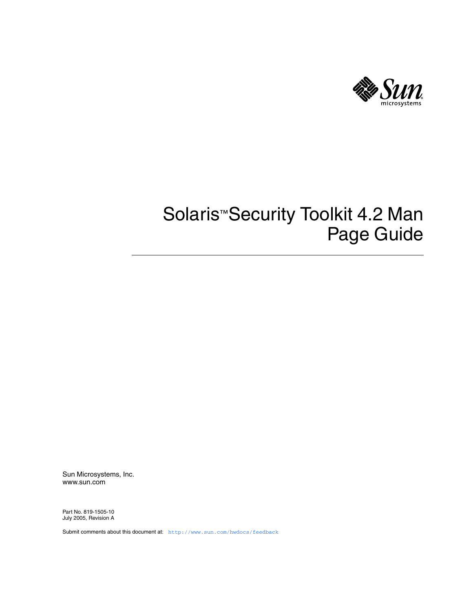

# Solaris™Security Toolkit 4.2 Man Page Guide

Sun Microsystems, Inc. www.sun.com

Part No. 819-1505-10 July 2005, Revision A

Submit comments about this document at: [http://www.sun.com/hwdocs/feedback](http://www.sun.com/hwdocs/feedback)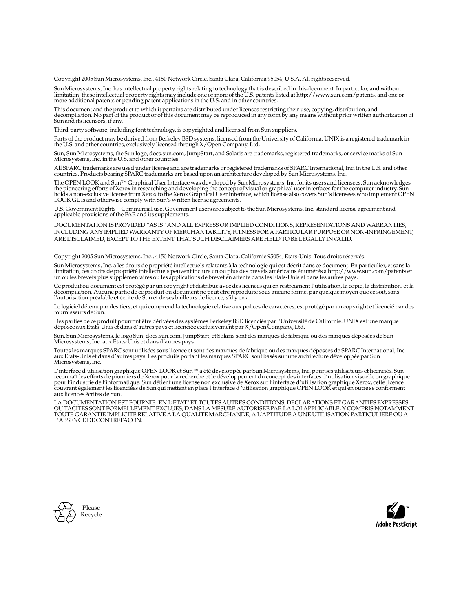Copyright 2005 Sun Microsystems, Inc., 4150 Network Circle, Santa Clara, California 95054, U.S.A. All rights reserved.

Sun Microsystems, Inc. has intellectual property rights relating to technology that is described in this document. In particular, and without<br>limitation, these intellectual property rights may include one or more of the U. more additional patents or pending patent applications in the U.S. and in other countries.

This document and the product to which it pertains are distributed under licenses restricting their use, copying, distribution, and decompilation. No part of the product or of this document may be reproduced in any form by any means without prior written authorization of Sun and its licensors, if any.

Third-party software, including font technology, is copyrighted and licensed from Sun suppliers.

Parts of the product may be derived from Berkeley BSD systems, licensed from the University of California. UNIX is a registered trademark in the U.S. and other countries, exclusively licensed through X/Open Company, Ltd.

Sun, Sun Microsystems, the Sun logo, docs.sun.com, JumpStart, and Solaris are trademarks, registered trademarks, or service marks of Sun Microsystems, Inc. in the U.S. and other countries.

All SPARC trademarks are used under license and are trademarks or registered trademarks of SPARC International, Inc. in the U.S. and other countries. Products bearing SPARC trademarks are based upon an architecture developed by Sun Microsystems, Inc.

The OPEN LOOK and Sun<sup>TM</sup> Graphical User Interface was developed by Sun Microsystems, Inc. for its users and licensees. Sun acknowledges<br>the pioneering efforts of Xerox in researching and developing the concept of visual o

U.S. Government Rights—Commercial use. Government users are subject to the Sun Microsystems, Inc. standard license agreement and applicable provisions of the FAR and its supplements.

DOCUMENTATION IS PROVIDED "AS IS" AND ALL EXPRESS OR IMPLIED CONDITIONS, REPRESENTATIONS AND WARRANTIES, INCLUDING ANY IMPLIED WARRANTY OF MERCHANTABILITY, FITNESS FOR A PARTICULAR PURPOSE OR NON-INFRINGEMENT, ARE DISCLAIMED, EXCEPT TO THE EXTENT THAT SUCH DISCLAIMERS ARE HELD TO BE LEGALLY INVALID.

Copyright 2005 Sun Microsystems, Inc., 4150 Network Circle, Santa Clara, Californie 95054, Etats-Unis. Tous droits réservés.

Sun Microsystems, Inc. a les droits de propriété intellectuels relatants à la technologie qui est décrit dans ce document. En particulier, et sans la<br>limitation, ces droits de propriété intellectuels peuvent inclure un ou un ou les brevets plus supplémentaires ou les applications de brevet en attente dans les Etats-Unis et dans les autres pays.

Ce produit ou document est protégé par un copyright et distribué avec des licences qui en restreignent l'utilisation, la copie, la distribution, et la décompilation. Aucune partie de ce produit ou document ne peut être reproduite sous aucune forme, par quelque moyen que ce soit, sans l'autorisation préalable et écrite de Sun et de ses bailleurs de licence, s'il y en a.

Le logiciel détenu par des tiers, et qui comprend la technologie relative aux polices de caractères, est protégé par un copyright et licencié par des fournisseurs de Sun.

Des parties de ce produit pourront être dérivées des systèmes Berkeley BSD licenciés par l'Université de Californie. UNIX est une marque déposée aux Etats-Unis et dans d'autres pays et licenciée exclusivement par X/Open Company, Ltd.

Sun, Sun Microsystems, le logo Sun, docs.sun.com, JumpStart, et Solaris sont des marques de fabrique ou des marques déposées de Sun Microsystems, Inc. aux Etats-Unis et dans d'autres pays.

Toutes les marques SPARC sont utilisées sous licence et sont des marques de fabrique ou des marques déposées de SPARC International, Inc. aux Etats-Unis et dans d'autres pays. Les produits portant les marques SPARC sont basés sur une architecture développée par Sun Microsystems, Inc.

L'interface d'utilisation graphique OPEN LOOK et Sun™ a été développée par Sun Microsystems, Inc. pour ses utilisateurs et licenciés. Sun reconnaît les efforts de pionniers de Xerox pour la recherche et le développement du concept des interfaces d'utilisation visuelle ou graphique pour l'industrie de l'informatique. Sun détient une license non exclusive de Xerox sur l'interface d'utilisation graphique Xerox, cette licence couvrant également les licenciées de Sun qui mettent en place l'interface d 'utilisation graphique OPEN LOOK et qui en outre se conforment aux licences écrites de Sun.

LA DOCUMENTATION EST FOURNIE "EN L'ÉTAT" ET TOUTES AUTRES CONDITIONS, DECLARATIONS ET GARANTIES EXPRESSES OU TACITES SONT FORMELLEMENT EXCLUES, DANS LA MESURE AUTORISEE PAR LA LOI APPLICABLE, Y COMPRIS NOTAMMENT TOUTE GARANTIE IMPLICITE RELATIVE A LA QUALITE MARCHANDE, A L'APTITUDE A UNE UTILISATION PARTICULIERE OU A L'ABSENCE DE CONTREFAÇON.



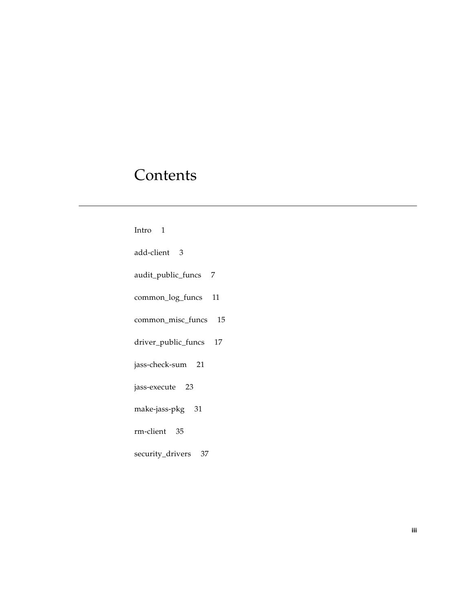# **Contents**

| Intro 1                |
|------------------------|
| add-client 3           |
| audit_public_funcs 7   |
| common_log_funcs 11    |
| common_misc_funcs 15   |
| driver_public_funcs 17 |
| jass-check-sum 21      |
| jass-execute 23        |
| make-jass-pkg 31       |
| rm-client 35           |
| security_drivers<br>37 |
|                        |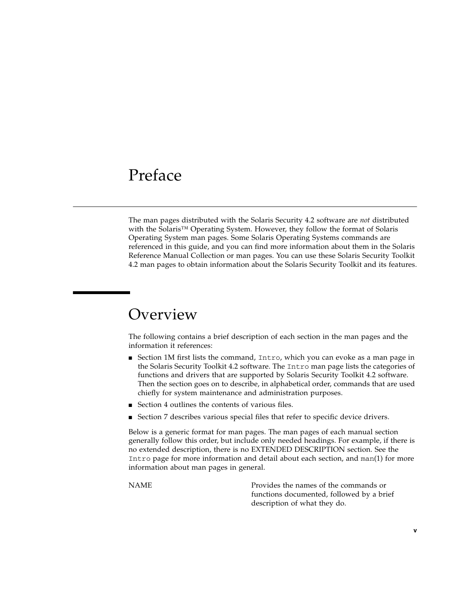# Preface

The man pages distributed with the Solaris Security 4.2 software are *not* distributed with the Solaris™ Operating System. However, they follow the format of Solaris Operating System man pages. Some Solaris Operating Systems commands are referenced in this guide, and you can find more information about them in the Solaris Reference Manual Collection or man pages. You can use these Solaris Security Toolkit 4.2 man pages to obtain information about the Solaris Security Toolkit and its features.

## Overview

The following contains a brief description of each section in the man pages and the information it references:

- Section 1M first lists the command, Intro, which you can evoke as a man page in the Solaris Security Toolkit 4.2 software. The Intro man page lists the categories of functions and drivers that are supported by Solaris Security Toolkit 4.2 software. Then the section goes on to describe, in alphabetical order, commands that are used chiefly for system maintenance and administration purposes.
- Section 4 outlines the contents of various files.
- Section 7 describes various special files that refer to specific device drivers.

Below is a generic format for man pages. The man pages of each manual section generally follow this order, but include only needed headings. For example, if there is no extended description, there is no EXTENDED DESCRIPTION section. See the Intro page for more information and detail about each section, and man(1) for more information about man pages in general.

NAME Provides the names of the commands or functions documented, followed by a brief description of what they do.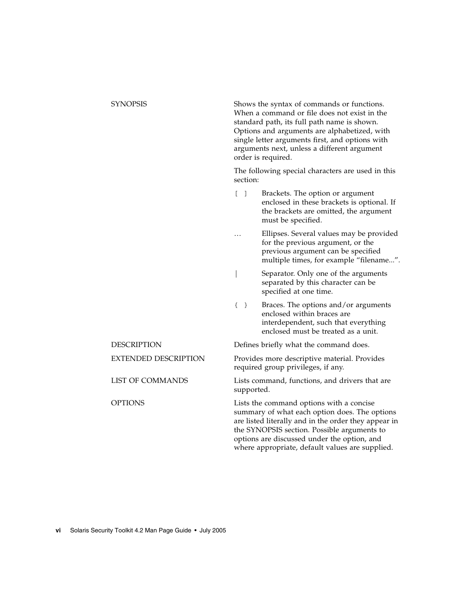| <b>SYNOPSIS</b>             | Shows the syntax of commands or functions.<br>When a command or file does not exist in the<br>standard path, its full path name is shown.<br>Options and arguments are alphabetized, with<br>single letter arguments first, and options with<br>arguments next, unless a different argument<br>order is required. |                                                                                                                                                                                                                                                                                                    |  |
|-----------------------------|-------------------------------------------------------------------------------------------------------------------------------------------------------------------------------------------------------------------------------------------------------------------------------------------------------------------|----------------------------------------------------------------------------------------------------------------------------------------------------------------------------------------------------------------------------------------------------------------------------------------------------|--|
|                             | section:                                                                                                                                                                                                                                                                                                          | The following special characters are used in this                                                                                                                                                                                                                                                  |  |
|                             | $\begin{bmatrix} 1 \end{bmatrix}$                                                                                                                                                                                                                                                                                 | Brackets. The option or argument<br>enclosed in these brackets is optional. If<br>the brackets are omitted, the argument<br>must be specified.                                                                                                                                                     |  |
|                             |                                                                                                                                                                                                                                                                                                                   | Ellipses. Several values may be provided<br>for the previous argument, or the<br>previous argument can be specified<br>multiple times, for example "filename".                                                                                                                                     |  |
|                             |                                                                                                                                                                                                                                                                                                                   | Separator. Only one of the arguments<br>separated by this character can be<br>specified at one time.                                                                                                                                                                                               |  |
|                             | $\{\quad\}$                                                                                                                                                                                                                                                                                                       | Braces. The options and/or arguments<br>enclosed within braces are<br>interdependent, such that everything<br>enclosed must be treated as a unit.                                                                                                                                                  |  |
| <b>DESCRIPTION</b>          |                                                                                                                                                                                                                                                                                                                   | Defines briefly what the command does.                                                                                                                                                                                                                                                             |  |
| <b>EXTENDED DESCRIPTION</b> |                                                                                                                                                                                                                                                                                                                   | Provides more descriptive material. Provides<br>required group privileges, if any.                                                                                                                                                                                                                 |  |
| <b>LIST OF COMMANDS</b>     | supported.                                                                                                                                                                                                                                                                                                        | Lists command, functions, and drivers that are                                                                                                                                                                                                                                                     |  |
| <b>OPTIONS</b>              |                                                                                                                                                                                                                                                                                                                   | Lists the command options with a concise<br>summary of what each option does. The options<br>are listed literally and in the order they appear in<br>the SYNOPSIS section. Possible arguments to<br>options are discussed under the option, and<br>where appropriate, default values are supplied. |  |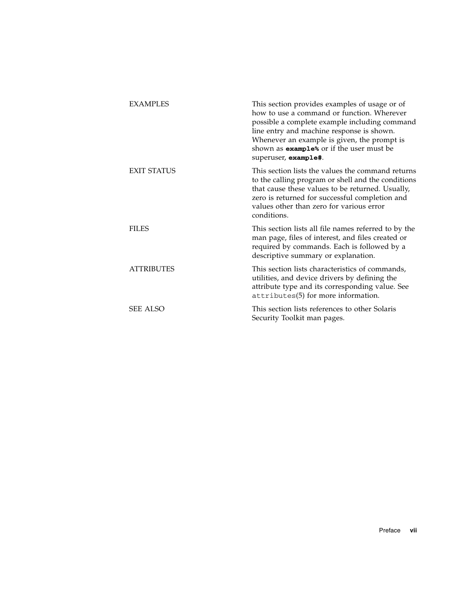| <b>EXAMPLES</b>    | This section provides examples of usage or of<br>how to use a command or function. Wherever<br>possible a complete example including command<br>line entry and machine response is shown.<br>Whenever an example is given, the prompt is<br>shown as <b>example</b> % or if the user must be<br>superuser, example#. |
|--------------------|----------------------------------------------------------------------------------------------------------------------------------------------------------------------------------------------------------------------------------------------------------------------------------------------------------------------|
| <b>EXIT STATUS</b> | This section lists the values the command returns<br>to the calling program or shell and the conditions<br>that cause these values to be returned. Usually,<br>zero is returned for successful completion and<br>values other than zero for various error<br>conditions.                                             |
| <b>FILES</b>       | This section lists all file names referred to by the<br>man page, files of interest, and files created or<br>required by commands. Each is followed by a<br>descriptive summary or explanation.                                                                                                                      |
| <b>ATTRIBUTES</b>  | This section lists characteristics of commands,<br>utilities, and device drivers by defining the<br>attribute type and its corresponding value. See<br>attributes(5) for more information.                                                                                                                           |
| <b>SEE ALSO</b>    | This section lists references to other Solaris<br>Security Toolkit man pages.                                                                                                                                                                                                                                        |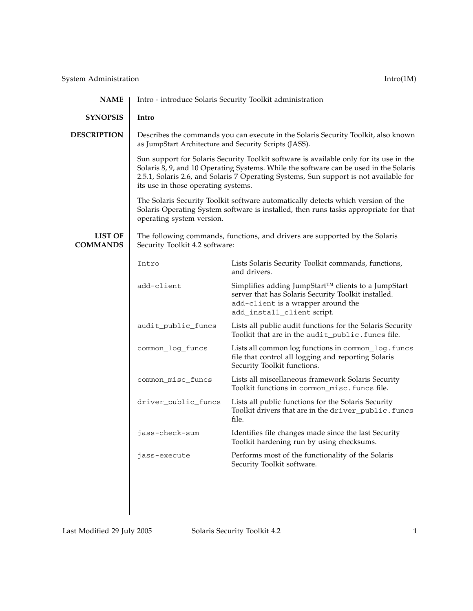<span id="page-8-0"></span>

| <b>NAME</b>                | Intro - introduce Solaris Security Toolkit administration                                                                                                                                                                                                                                                       |                                                                                                                                                                                            |  |
|----------------------------|-----------------------------------------------------------------------------------------------------------------------------------------------------------------------------------------------------------------------------------------------------------------------------------------------------------------|--------------------------------------------------------------------------------------------------------------------------------------------------------------------------------------------|--|
| <b>SYNOPSIS</b>            | Intro                                                                                                                                                                                                                                                                                                           |                                                                                                                                                                                            |  |
| <b>DESCRIPTION</b>         | Describes the commands you can execute in the Solaris Security Toolkit, also known<br>as JumpStart Architecture and Security Scripts (JASS).                                                                                                                                                                    |                                                                                                                                                                                            |  |
|                            | Sun support for Solaris Security Toolkit software is available only for its use in the<br>Solaris 8, 9, and 10 Operating Systems. While the software can be used in the Solaris<br>2.5.1, Solaris 2.6, and Solaris 7 Operating Systems, Sun support is not available for<br>its use in those operating systems. |                                                                                                                                                                                            |  |
|                            | The Solaris Security Toolkit software automatically detects which version of the<br>Solaris Operating System software is installed, then runs tasks appropriate for that<br>operating system version.                                                                                                           |                                                                                                                                                                                            |  |
| LIST OF<br><b>COMMANDS</b> | The following commands, functions, and drivers are supported by the Solaris<br>Security Toolkit 4.2 software:                                                                                                                                                                                                   |                                                                                                                                                                                            |  |
|                            | Intro                                                                                                                                                                                                                                                                                                           | Lists Solaris Security Toolkit commands, functions,<br>and drivers.                                                                                                                        |  |
|                            | add-client                                                                                                                                                                                                                                                                                                      | Simplifies adding JumpStart <sup>™</sup> clients to a JumpStart<br>server that has Solaris Security Toolkit installed.<br>add-client is a wrapper around the<br>add_install_client script. |  |
|                            | Lists all public audit functions for the Solaris Security<br>audit_public_funcs<br>Toolkit that are in the audit_public.funcs file.                                                                                                                                                                             |                                                                                                                                                                                            |  |
|                            | common_log_funcs                                                                                                                                                                                                                                                                                                | Lists all common log functions in common_log.funcs<br>file that control all logging and reporting Solaris<br>Security Toolkit functions.                                                   |  |
|                            | common_misc_funcs                                                                                                                                                                                                                                                                                               | Lists all miscellaneous framework Solaris Security<br>Toolkit functions in common misc.funcs file.                                                                                         |  |
|                            | driver_public_funcs                                                                                                                                                                                                                                                                                             | Lists all public functions for the Solaris Security<br>Toolkit drivers that are in the driver_public.funcs<br>file.                                                                        |  |
|                            | jass-check-sum                                                                                                                                                                                                                                                                                                  | Identifies file changes made since the last Security<br>Toolkit hardening run by using checksums.                                                                                          |  |
|                            | jass-execute                                                                                                                                                                                                                                                                                                    | Performs most of the functionality of the Solaris<br>Security Toolkit software.                                                                                                            |  |
|                            |                                                                                                                                                                                                                                                                                                                 |                                                                                                                                                                                            |  |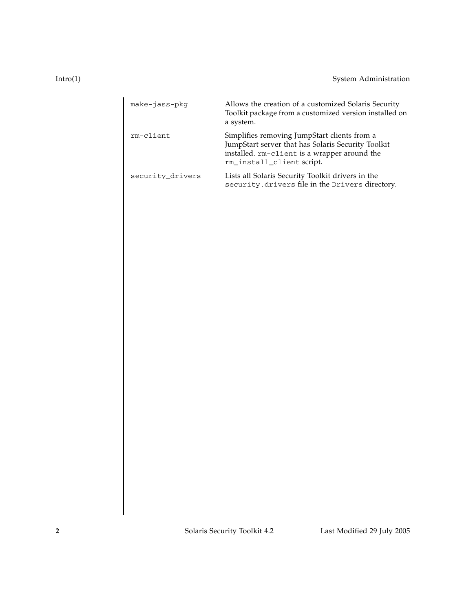| make-jass-pkg    | Allows the creation of a customized Solaris Security<br>Toolkit package from a customized version installed on<br>a system.                                                     |
|------------------|---------------------------------------------------------------------------------------------------------------------------------------------------------------------------------|
| rm-client        | Simplifies removing JumpStart clients from a<br>JumpStart server that has Solaris Security Toolkit<br>installed. rm-client is a wrapper around the<br>rm_install_client script. |
| security drivers | Lists all Solaris Security Toolkit drivers in the<br>security.drivers file in the Drivers directory.                                                                            |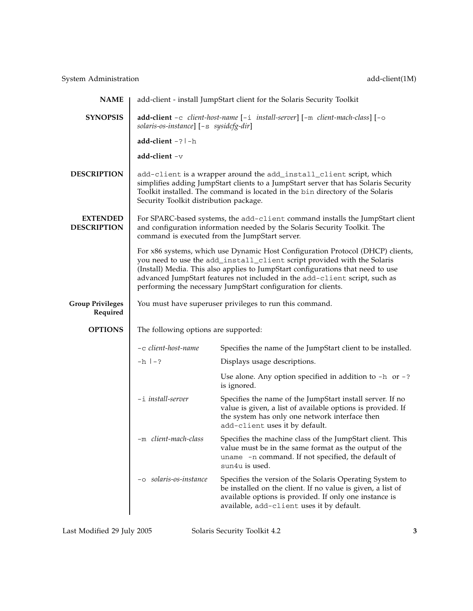<span id="page-10-0"></span>

| <b>NAME</b>                           | add-client - install JumpStart client for the Solaris Security Toolkit                                                                                                                                                                                                                                                                                                                      |                                                                                                                                                                                                                                |  |  |
|---------------------------------------|---------------------------------------------------------------------------------------------------------------------------------------------------------------------------------------------------------------------------------------------------------------------------------------------------------------------------------------------------------------------------------------------|--------------------------------------------------------------------------------------------------------------------------------------------------------------------------------------------------------------------------------|--|--|
| <b>SYNOPSIS</b>                       | <b>add-client</b> $-c$ client-host-name $[-i$ install-server] $[-m$ client-mach-class] $[-\infty, \infty)$<br>solaris-os-instance] [-s sysidcfg-dir]                                                                                                                                                                                                                                        |                                                                                                                                                                                                                                |  |  |
|                                       | add-client -?   -h                                                                                                                                                                                                                                                                                                                                                                          |                                                                                                                                                                                                                                |  |  |
|                                       | add-client $-v$                                                                                                                                                                                                                                                                                                                                                                             |                                                                                                                                                                                                                                |  |  |
| <b>DESCRIPTION</b>                    | add-client is a wrapper around the add_install_client script, which<br>simplifies adding JumpStart clients to a JumpStart server that has Solaris Security<br>Toolkit installed. The command is located in the bin directory of the Solaris<br>Security Toolkit distribution package.                                                                                                       |                                                                                                                                                                                                                                |  |  |
| <b>EXTENDED</b><br><b>DESCRIPTION</b> | For SPARC-based systems, the add-client command installs the JumpStart client<br>and configuration information needed by the Solaris Security Toolkit. The<br>command is executed from the JumpStart server.                                                                                                                                                                                |                                                                                                                                                                                                                                |  |  |
|                                       | For x86 systems, which use Dynamic Host Configuration Protocol (DHCP) clients,<br>you need to use the add_install_client script provided with the Solaris<br>(Install) Media. This also applies to JumpStart configurations that need to use<br>advanced JumpStart features not included in the add-client script, such as<br>performing the necessary JumpStart configuration for clients. |                                                                                                                                                                                                                                |  |  |
| <b>Group Privileges</b><br>Required   | You must have superuser privileges to run this command.                                                                                                                                                                                                                                                                                                                                     |                                                                                                                                                                                                                                |  |  |
| <b>OPTIONS</b>                        | The following options are supported:                                                                                                                                                                                                                                                                                                                                                        |                                                                                                                                                                                                                                |  |  |
|                                       | -c client-host-name                                                                                                                                                                                                                                                                                                                                                                         | Specifies the name of the JumpStart client to be installed.                                                                                                                                                                    |  |  |
|                                       | $-h$ $-?$                                                                                                                                                                                                                                                                                                                                                                                   | Displays usage descriptions.                                                                                                                                                                                                   |  |  |
|                                       |                                                                                                                                                                                                                                                                                                                                                                                             | Use alone. Any option specified in addition to $-h$ or $-?$<br>is ignored.                                                                                                                                                     |  |  |
|                                       | -i install-server                                                                                                                                                                                                                                                                                                                                                                           | Specifies the name of the JumpStart install server. If no<br>value is given, a list of available options is provided. If<br>the system has only one network interface then<br>add-client uses it by default.                   |  |  |
|                                       | -m <i>client-mach-class</i>                                                                                                                                                                                                                                                                                                                                                                 | Specifies the machine class of the JumpStart client. This<br>value must be in the same format as the output of the<br>uname -n command. If not specified, the default of<br>sun4u is used.                                     |  |  |
|                                       | $-\alpha$ solaris-os-instance                                                                                                                                                                                                                                                                                                                                                               | Specifies the version of the Solaris Operating System to<br>be installed on the client. If no value is given, a list of<br>available options is provided. If only one instance is<br>available, add-client uses it by default. |  |  |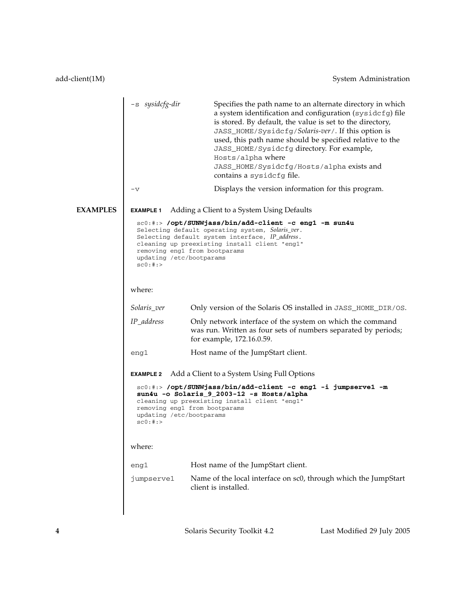```
EXAMPLES EXAMPLE 1 Adding a Client to a System Using Defaults
  where:
  EXAMPLE 2 Add a Client to a System Using Full Options
  where:
  -s sysidcfg-dir Specifies the path name to an alternate directory in which 
                         a system identification and configuration (sysidcfg) file 
                         is stored. By default, the value is set to the directory, 
                         JASS_HOME/Sysidcfg/Solaris-ver/. If this option is 
                         used, this path name should be specified relative to the 
                         JASS_HOME/Sysidcfg directory. For example, 
                         Hosts/alpha where 
                         JASS_HOME/Sysidcfg/Hosts/alpha exists and 
                         contains a sysidcfg file.
  -v Displays the version information for this program.
    sc0:#:> /opt/SUNWjass/bin/add-client -c eng1 -m sun4u 
    Selecting default operating system, Solaris_ver.
    Selecting default system interface, IP_address.
    cleaning up preexisting install client "eng1"
    removing eng1 from bootparams
    updating /etc/bootparams
    sc0:#:> 
  Solaris_ver Only version of the Solaris OS installed in JASS_HOME_DIR/OS.
  IP_address Only network interface of the system on which the command 
                   was run. Written as four sets of numbers separated by periods; 
                   for example, 172.16.0.59. 
  eng1 Host name of the JumpStart client.
    sc0:#:> /opt/SUNWjass/bin/add-client -c eng1 -i jumpserve1 -m 
    sun4u -o Solaris_9_2003-12 -s Hosts/alpha
    cleaning up preexisting install client "eng1"
    removing eng1 from bootparams
    updating /etc/bootparams
    sc0:#:> 
  eng1 Host name of the JumpStart client.
  jumpserve1 Name of the local interface on sc0, through which the JumpStart 
                   client is installed.
```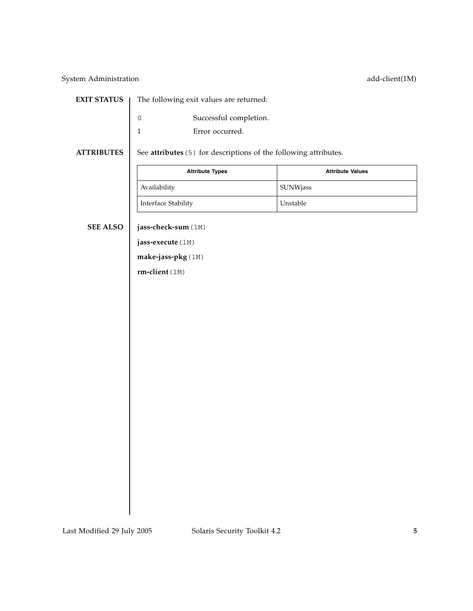# **EXIT STATUS** | The following exit values are returned: **ATTRIBUTES** See **attributes** (5) for descriptions of the following attributes. **SEE ALSO jass-check-sum**(1M) **jass-execute**(1M) **make-jass-pkg**(1M) **rm-client**(1M) 0 Successful completion. 1 Error occurred. **Attribute Types Attribute Values** Availability SUNWjass Interface Stability Unstable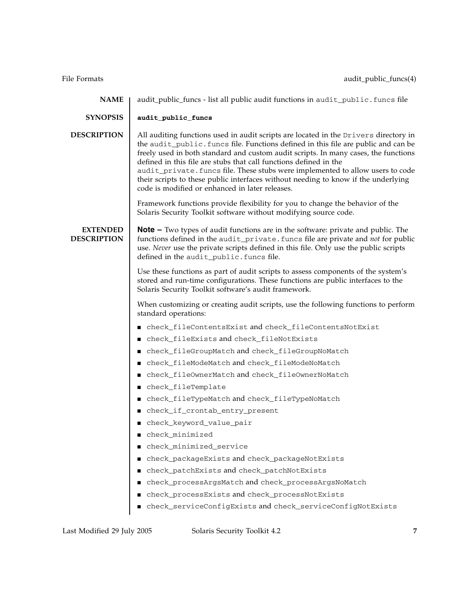<span id="page-14-0"></span>

| <b>NAME</b>                                     | audit_public_funcs - list all public audit functions in audit_public.funcs file                                                                                                                                                                                                                                                                                                                                                                                                                                                                                 |  |  |
|-------------------------------------------------|-----------------------------------------------------------------------------------------------------------------------------------------------------------------------------------------------------------------------------------------------------------------------------------------------------------------------------------------------------------------------------------------------------------------------------------------------------------------------------------------------------------------------------------------------------------------|--|--|
| <b>SYNOPSIS</b>                                 | audit public funcs                                                                                                                                                                                                                                                                                                                                                                                                                                                                                                                                              |  |  |
| <b>DESCRIPTION</b>                              | All auditing functions used in audit scripts are located in the Drivers directory in<br>the audit_public.funcs file. Functions defined in this file are public and can be<br>freely used in both standard and custom audit scripts. In many cases, the functions<br>defined in this file are stubs that call functions defined in the<br>audit_private.funcs file. These stubs were implemented to allow users to code<br>their scripts to these public interfaces without needing to know if the underlying<br>code is modified or enhanced in later releases. |  |  |
|                                                 | Framework functions provide flexibility for you to change the behavior of the<br>Solaris Security Toolkit software without modifying source code.                                                                                                                                                                                                                                                                                                                                                                                                               |  |  |
| <b>EXTENDED</b><br><b>DESCRIPTION</b>           | <b>Note</b> – Two types of audit functions are in the software: private and public. The<br>functions defined in the audit_private. funcs file are private and not for public<br>use. Never use the private scripts defined in this file. Only use the public scripts<br>defined in the audit_public.funcs file.                                                                                                                                                                                                                                                 |  |  |
|                                                 | Use these functions as part of audit scripts to assess components of the system's<br>stored and run-time configurations. These functions are public interfaces to the<br>Solaris Security Toolkit software's audit framework.                                                                                                                                                                                                                                                                                                                                   |  |  |
|                                                 | When customizing or creating audit scripts, use the following functions to perform<br>standard operations:                                                                                                                                                                                                                                                                                                                                                                                                                                                      |  |  |
|                                                 | check_fileContentsExist and check_fileContentsNotExist                                                                                                                                                                                                                                                                                                                                                                                                                                                                                                          |  |  |
|                                                 | check_fileExists and check_fileNotExists<br>п                                                                                                                                                                                                                                                                                                                                                                                                                                                                                                                   |  |  |
| check_fileGroupMatch and check_fileGroupNoMatch |                                                                                                                                                                                                                                                                                                                                                                                                                                                                                                                                                                 |  |  |
| check_fileModeMatch and check_fileModeNoMatch   |                                                                                                                                                                                                                                                                                                                                                                                                                                                                                                                                                                 |  |  |
| check_fileOwnerMatch and check_fileOwnerNoMatch |                                                                                                                                                                                                                                                                                                                                                                                                                                                                                                                                                                 |  |  |
| ■ check_fileTemplate                            |                                                                                                                                                                                                                                                                                                                                                                                                                                                                                                                                                                 |  |  |
|                                                 | check_fileTypeMatch and check_fileTypeNoMatch                                                                                                                                                                                                                                                                                                                                                                                                                                                                                                                   |  |  |
|                                                 | check_if_crontab_entry_present                                                                                                                                                                                                                                                                                                                                                                                                                                                                                                                                  |  |  |
|                                                 | check_keyword_value_pair                                                                                                                                                                                                                                                                                                                                                                                                                                                                                                                                        |  |  |
|                                                 | ∎ check minimized                                                                                                                                                                                                                                                                                                                                                                                                                                                                                                                                               |  |  |
|                                                 | check_minimized_service<br>п                                                                                                                                                                                                                                                                                                                                                                                                                                                                                                                                    |  |  |
|                                                 | check_packageExists and check_packageNotExists<br>п                                                                                                                                                                                                                                                                                                                                                                                                                                                                                                             |  |  |
|                                                 | check_patchExists and check_patchNotExists                                                                                                                                                                                                                                                                                                                                                                                                                                                                                                                      |  |  |
|                                                 | check_processArgsMatch and check_processArgsNoMatch<br>■                                                                                                                                                                                                                                                                                                                                                                                                                                                                                                        |  |  |
|                                                 | check_processExists and check_processNotExists<br>п                                                                                                                                                                                                                                                                                                                                                                                                                                                                                                             |  |  |
|                                                 | check_serviceConfigExists and check_serviceConfigNotExists                                                                                                                                                                                                                                                                                                                                                                                                                                                                                                      |  |  |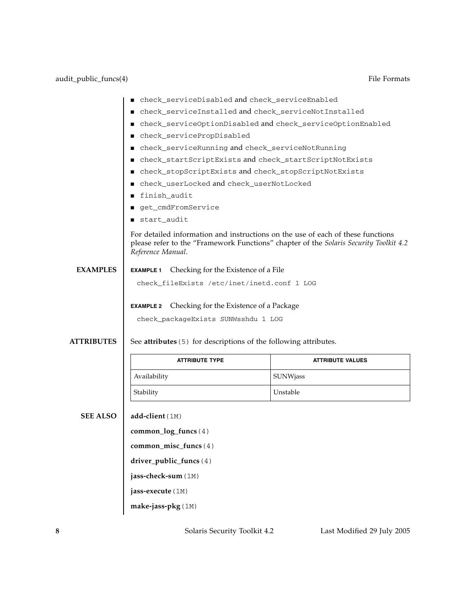|                                                        | ■ check_serviceDisabled and check_serviceEnabled                 |                                                                                                                                                                          |  |
|--------------------------------------------------------|------------------------------------------------------------------|--------------------------------------------------------------------------------------------------------------------------------------------------------------------------|--|
|                                                        | ■ check_serviceInstalled and check_serviceNotInstalled           |                                                                                                                                                                          |  |
|                                                        |                                                                  | check_serviceOptionDisabled and check_serviceOptionEnabled                                                                                                               |  |
|                                                        | ■ check_servicePropDisabled                                      |                                                                                                                                                                          |  |
|                                                        | ■ check_serviceRunning and check_serviceNotRunning               |                                                                                                                                                                          |  |
|                                                        | ■ check_startScriptExists and check_startScriptNotExists         |                                                                                                                                                                          |  |
| ■ check_stopScriptExists and check_stopScriptNotExists |                                                                  |                                                                                                                                                                          |  |
| ■ check_userLocked and check_userNotLocked             |                                                                  |                                                                                                                                                                          |  |
|                                                        | ■ finish audit                                                   |                                                                                                                                                                          |  |
|                                                        | get_cmdFromService                                               |                                                                                                                                                                          |  |
|                                                        | start_audit                                                      |                                                                                                                                                                          |  |
|                                                        | Reference Manual.                                                | For detailed information and instructions on the use of each of these functions<br>please refer to the "Framework Functions" chapter of the Solaris Security Toolkit 4.2 |  |
| <b>EXAMPLES</b>                                        | Checking for the Existence of a File<br><b>EXAMPLE 1</b>         |                                                                                                                                                                          |  |
|                                                        | check_fileExists /etc/inet/inetd.conf 1 LOG                      |                                                                                                                                                                          |  |
|                                                        | <b>EXAMPLE 2</b> Checking for the Existence of a Package         |                                                                                                                                                                          |  |
|                                                        | check_packageExists SUNWsshdu 1 LOG                              |                                                                                                                                                                          |  |
| <b>ATTRIBUTES</b>                                      | See attributes (5) for descriptions of the following attributes. |                                                                                                                                                                          |  |
|                                                        | <b>ATTRIBUTE TYPE</b>                                            | <b>ATTRIBUTE VALUES</b>                                                                                                                                                  |  |
|                                                        | Availability                                                     | SUNWjass                                                                                                                                                                 |  |
|                                                        | Stability                                                        | Unstable                                                                                                                                                                 |  |
| <b>SEE ALSO</b>                                        | add-client (1M)                                                  |                                                                                                                                                                          |  |
|                                                        | common_log_funcs (4)                                             |                                                                                                                                                                          |  |
|                                                        | common_misc_funcs(4)                                             |                                                                                                                                                                          |  |
|                                                        | driver_public_funcs(4)                                           |                                                                                                                                                                          |  |
|                                                        | jass-check-sum (1M)                                              |                                                                                                                                                                          |  |
|                                                        | jass-execute (1M)                                                |                                                                                                                                                                          |  |
|                                                        | make-jass-pkg (1M)                                               |                                                                                                                                                                          |  |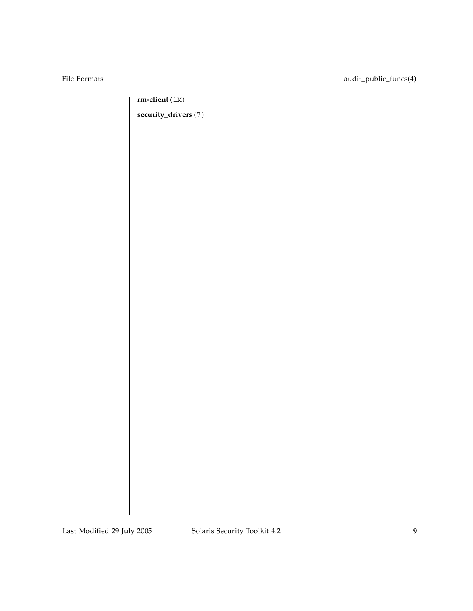**rm-client**(1M)

**security\_drivers**(7)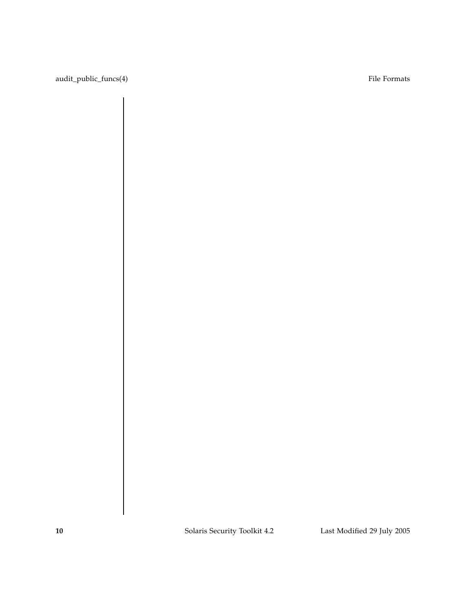audit\_public\_funcs(4) File Formats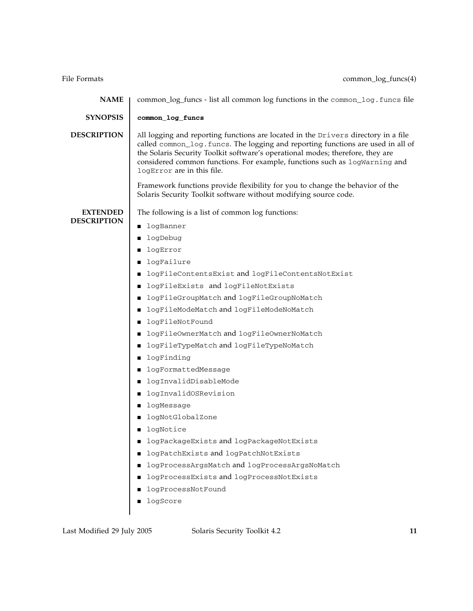<span id="page-18-0"></span>

| <b>NAME</b>        | common_log_funcs - list all common log functions in the common_log. funcs file                                                                                                                                                                                                                                                                                      |  |  |
|--------------------|---------------------------------------------------------------------------------------------------------------------------------------------------------------------------------------------------------------------------------------------------------------------------------------------------------------------------------------------------------------------|--|--|
| <b>SYNOPSIS</b>    | common log funcs                                                                                                                                                                                                                                                                                                                                                    |  |  |
| <b>DESCRIPTION</b> | All logging and reporting functions are located in the Drivers directory in a file<br>called common_log.funcs. The logging and reporting functions are used in all of<br>the Solaris Security Toolkit software's operational modes; therefore, they are<br>considered common functions. For example, functions such as logWarning and<br>logError are in this file. |  |  |
|                    | Framework functions provide flexibility for you to change the behavior of the<br>Solaris Security Toolkit software without modifying source code.                                                                                                                                                                                                                   |  |  |
| <b>EXTENDED</b>    | The following is a list of common log functions:                                                                                                                                                                                                                                                                                                                    |  |  |
| <b>DESCRIPTION</b> | logBanner<br>п                                                                                                                                                                                                                                                                                                                                                      |  |  |
|                    | logDebug                                                                                                                                                                                                                                                                                                                                                            |  |  |
|                    | logError                                                                                                                                                                                                                                                                                                                                                            |  |  |
|                    | logFailure                                                                                                                                                                                                                                                                                                                                                          |  |  |
|                    | logFileContentsExist and logFileContentsNotExist<br>п                                                                                                                                                                                                                                                                                                               |  |  |
|                    | logFileExists and logFileNotExists<br>п                                                                                                                                                                                                                                                                                                                             |  |  |
|                    | logFileGroupMatch and logFileGroupNoMatch                                                                                                                                                                                                                                                                                                                           |  |  |
|                    | logFileModeMatch and logFileModeNoMatch<br>п                                                                                                                                                                                                                                                                                                                        |  |  |
|                    | logFileNotFound                                                                                                                                                                                                                                                                                                                                                     |  |  |
|                    | logFileOwnerMatch and logFileOwnerNoMatch<br>п                                                                                                                                                                                                                                                                                                                      |  |  |
|                    | logFileTypeMatch and logFileTypeNoMatch<br>п                                                                                                                                                                                                                                                                                                                        |  |  |
|                    | logFinding                                                                                                                                                                                                                                                                                                                                                          |  |  |
|                    | logFormattedMessage<br>п                                                                                                                                                                                                                                                                                                                                            |  |  |
|                    | logInvalidDisableMode<br>п                                                                                                                                                                                                                                                                                                                                          |  |  |
|                    | logInvalidOSRevision<br>п                                                                                                                                                                                                                                                                                                                                           |  |  |
|                    | logMessage                                                                                                                                                                                                                                                                                                                                                          |  |  |
|                    | logNotGlobalZone<br>п                                                                                                                                                                                                                                                                                                                                               |  |  |
|                    | logNotice<br>п                                                                                                                                                                                                                                                                                                                                                      |  |  |
|                    | logPackageExists and logPackageNotExists                                                                                                                                                                                                                                                                                                                            |  |  |
|                    | logPatchExists and logPatchNotExists<br>п                                                                                                                                                                                                                                                                                                                           |  |  |
|                    | logProcessArgsMatch and logProcessArgsNoMatch<br>п                                                                                                                                                                                                                                                                                                                  |  |  |
|                    | logProcessExists and logProcessNotExists<br>п                                                                                                                                                                                                                                                                                                                       |  |  |
|                    | logProcessNotFound                                                                                                                                                                                                                                                                                                                                                  |  |  |
|                    | logScore<br>п                                                                                                                                                                                                                                                                                                                                                       |  |  |
|                    |                                                                                                                                                                                                                                                                                                                                                                     |  |  |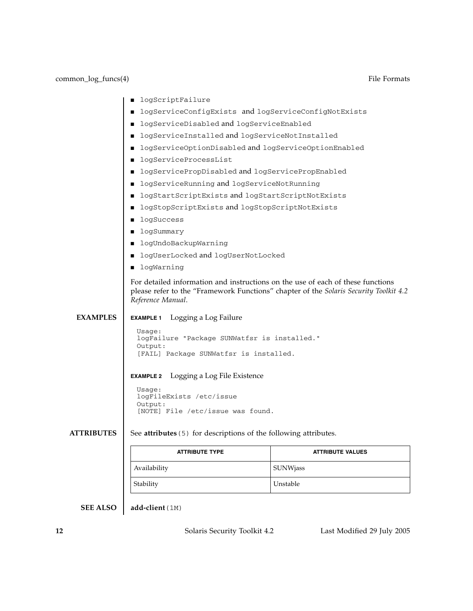|                   | Availability                                                                                                                                                                                  | <b>SUNWjass</b>         |
|-------------------|-----------------------------------------------------------------------------------------------------------------------------------------------------------------------------------------------|-------------------------|
|                   | ATTRIBUTE TYPE                                                                                                                                                                                | <b>ATTRIBUTE VALUES</b> |
| <b>ATTRIBUTES</b> | See attributes (5) for descriptions of the following attributes.                                                                                                                              |                         |
|                   | Usage:<br>logFileExists /etc/issue<br>Output:<br>[NOTE] File /etc/issue was found.                                                                                                            |                         |
|                   | Logging a Log File Existence<br><b>EXAMPLE 2</b>                                                                                                                                              |                         |
|                   | Usage:<br>logFailure "Package SUNWatfsr is installed."<br>Output:<br>[FAIL] Package SUNWatfsr is installed.                                                                                   |                         |
| <b>EXAMPLES</b>   | Logging a Log Failure<br><b>EXAMPLE 1</b>                                                                                                                                                     |                         |
|                   | For detailed information and instructions on the use of each of these functions<br>please refer to the "Framework Functions" chapter of the Solaris Security Toolkit 4.2<br>Reference Manual. |                         |
|                   | logWarning<br>$\blacksquare$                                                                                                                                                                  |                         |
|                   | logUserLocked and logUserNotLocked                                                                                                                                                            |                         |
|                   | logUndoBackupWarning<br>п                                                                                                                                                                     |                         |
|                   | logSummary                                                                                                                                                                                    |                         |
|                   | logStopScriptExists and logStopScriptNotExists<br>п<br>logSuccess                                                                                                                             |                         |
|                   | logStartScriptExists and logStartScriptNotExists                                                                                                                                              |                         |
|                   | logServiceRunning and logServiceNotRunning                                                                                                                                                    |                         |
|                   | logServicePropDisabled and logServicePropEnabled<br>п                                                                                                                                         |                         |
|                   | logServiceProcessList                                                                                                                                                                         |                         |
|                   | logServiceOptionDisabled and logServiceOptionEnabled<br>п                                                                                                                                     |                         |
|                   | logServiceInstalled and logServiceNotInstalled<br>п                                                                                                                                           |                         |
|                   | logServiceDisabled and logServiceEnabled                                                                                                                                                      |                         |
|                   | logServiceConfigExists and logServiceConfigNotExists                                                                                                                                          |                         |
|                   | logScriptFailure                                                                                                                                                                              |                         |

**SEE ALSO** add-client (1M)

Stability **Unstable**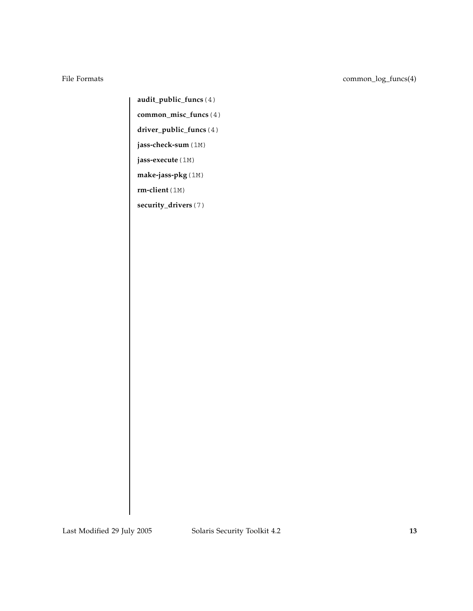**audit\_public\_funcs**(4)

**common\_misc\_funcs**(4)

**driver\_public\_funcs**(4)

**jass-check-sum**(1M)

**jass-execute**(1M)

**make-jass-pkg**(1M)

**rm-client**(1M)

**security\_drivers**(7)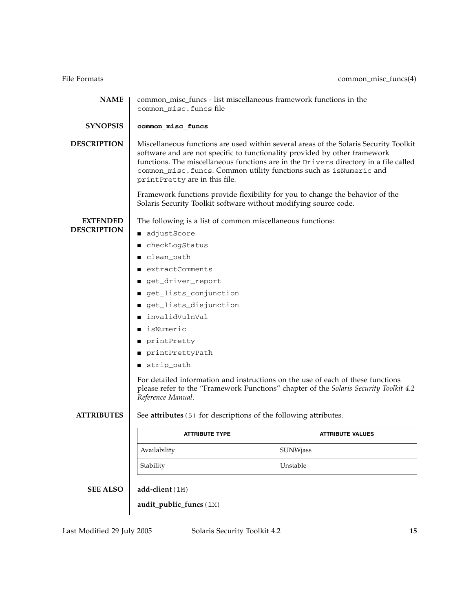<span id="page-22-0"></span>

| <b>NAME</b>                                                                                                                                                                                                                                                                                                                                                                             | common_misc_funcs - list miscellaneous framework functions in the<br>common_misc.funcs file                                                                                                                                                                                                                                                                                                                                                                                               |                         |  |
|-----------------------------------------------------------------------------------------------------------------------------------------------------------------------------------------------------------------------------------------------------------------------------------------------------------------------------------------------------------------------------------------|-------------------------------------------------------------------------------------------------------------------------------------------------------------------------------------------------------------------------------------------------------------------------------------------------------------------------------------------------------------------------------------------------------------------------------------------------------------------------------------------|-------------------------|--|
| <b>SYNOPSIS</b>                                                                                                                                                                                                                                                                                                                                                                         | common_misc_funcs                                                                                                                                                                                                                                                                                                                                                                                                                                                                         |                         |  |
| <b>DESCRIPTION</b><br>Miscellaneous functions are used within several areas of the Solaris Security Toolkit<br>software and are not specific to functionality provided by other framework<br>functions. The miscellaneous functions are in the Drivers directory in a file called<br>common_misc.funcs. Common utility functions such as isNumeric and<br>printPretty are in this file. |                                                                                                                                                                                                                                                                                                                                                                                                                                                                                           |                         |  |
|                                                                                                                                                                                                                                                                                                                                                                                         | Framework functions provide flexibility for you to change the behavior of the<br>Solaris Security Toolkit software without modifying source code.                                                                                                                                                                                                                                                                                                                                         |                         |  |
| <b>EXTENDED</b><br><b>DESCRIPTION</b>                                                                                                                                                                                                                                                                                                                                                   | The following is a list of common miscellaneous functions:<br>adjustScore<br>п<br>checkLogStatus<br>п<br>clean_path<br>extractComments<br>get_driver_report<br>get_lists_conjunction<br>get_lists_disjunction<br>invalidVulnVal<br>п<br>isNumeric<br>printPretty<br>п<br>■ printPrettyPath<br>strip_path<br>п<br>For detailed information and instructions on the use of each of these functions<br>please refer to the "Framework Functions" chapter of the Solaris Security Toolkit 4.2 |                         |  |
| Reference Manual.<br>See attributes (5) for descriptions of the following attributes.<br><b>ATTRIBUTES</b>                                                                                                                                                                                                                                                                              |                                                                                                                                                                                                                                                                                                                                                                                                                                                                                           |                         |  |
|                                                                                                                                                                                                                                                                                                                                                                                         | <b>ATTRIBUTE TYPE</b>                                                                                                                                                                                                                                                                                                                                                                                                                                                                     | <b>ATTRIBUTE VALUES</b> |  |
|                                                                                                                                                                                                                                                                                                                                                                                         | Availability                                                                                                                                                                                                                                                                                                                                                                                                                                                                              | SUNWjass                |  |
|                                                                                                                                                                                                                                                                                                                                                                                         | Unstable                                                                                                                                                                                                                                                                                                                                                                                                                                                                                  |                         |  |
| <b>SEE ALSO</b>                                                                                                                                                                                                                                                                                                                                                                         | add-client (1M)<br>audit_public_funcs (1M)                                                                                                                                                                                                                                                                                                                                                                                                                                                |                         |  |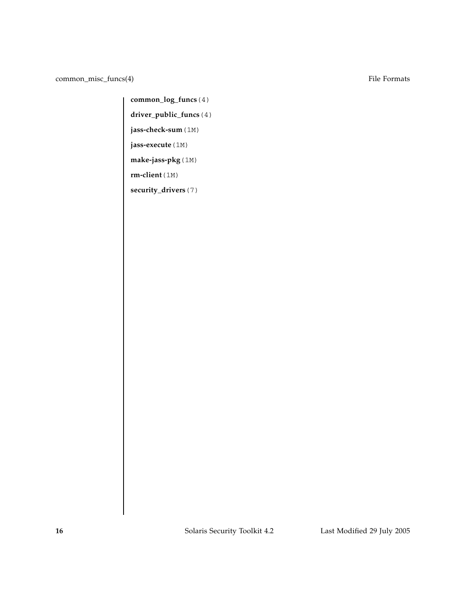**common\_log\_funcs**(4)

**driver\_public\_funcs**(4)

**jass-check-sum**(1M)

**jass-execute**(1M)

**make-jass-pkg**(1M)

**rm-client**(1M)

**security\_drivers**(7)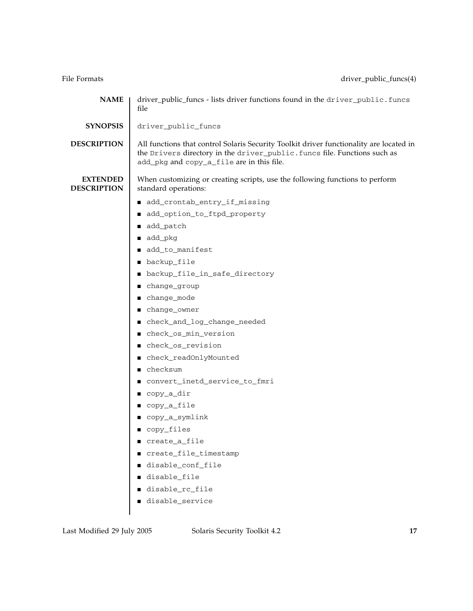<span id="page-24-0"></span>

| <b>NAME</b>                           | driver_public_funcs - lists driver functions found in the driver_public.funcs<br>file                                                                                                                             |  |
|---------------------------------------|-------------------------------------------------------------------------------------------------------------------------------------------------------------------------------------------------------------------|--|
| <b>SYNOPSIS</b>                       | driver_public_funcs                                                                                                                                                                                               |  |
| <b>DESCRIPTION</b>                    | All functions that control Solaris Security Toolkit driver functionality are located in<br>the Drivers directory in the driver_public. funcs file. Functions such as<br>add_pkg and copy_a_file are in this file. |  |
| <b>EXTENDED</b><br><b>DESCRIPTION</b> | When customizing or creating scripts, use the following functions to perform<br>standard operations:                                                                                                              |  |
|                                       | add_crontab_entry_if_missing                                                                                                                                                                                      |  |
|                                       | add_option_to_ftpd_property<br>■                                                                                                                                                                                  |  |
|                                       | add_patch                                                                                                                                                                                                         |  |
|                                       | add_pkg<br>п                                                                                                                                                                                                      |  |
|                                       | add_to_manifest                                                                                                                                                                                                   |  |
|                                       | backup_file                                                                                                                                                                                                       |  |
|                                       | backup_file_in_safe_directory                                                                                                                                                                                     |  |
|                                       | change_group<br>■                                                                                                                                                                                                 |  |
|                                       | change_mode                                                                                                                                                                                                       |  |
|                                       | change_owner                                                                                                                                                                                                      |  |
|                                       | check_and_log_change_needed<br>ш                                                                                                                                                                                  |  |
|                                       | check_os_min_version                                                                                                                                                                                              |  |
|                                       | check_os_revision<br>п                                                                                                                                                                                            |  |
|                                       | check_readOnlyMounted<br>checksum<br>п                                                                                                                                                                            |  |
|                                       |                                                                                                                                                                                                                   |  |
|                                       | convert_inetd_service_to_fmri                                                                                                                                                                                     |  |
|                                       | copy_a_dir                                                                                                                                                                                                        |  |
|                                       | copy_a_file                                                                                                                                                                                                       |  |
|                                       | copy_a_symlink                                                                                                                                                                                                    |  |
|                                       | copy_files                                                                                                                                                                                                        |  |
|                                       | create_a_file<br>п                                                                                                                                                                                                |  |
|                                       | create_file_timestamp<br>п                                                                                                                                                                                        |  |
|                                       | disable_conf_file<br>п                                                                                                                                                                                            |  |
|                                       | disable_file                                                                                                                                                                                                      |  |
|                                       | disable_rc_file                                                                                                                                                                                                   |  |
|                                       | disable service                                                                                                                                                                                                   |  |
|                                       |                                                                                                                                                                                                                   |  |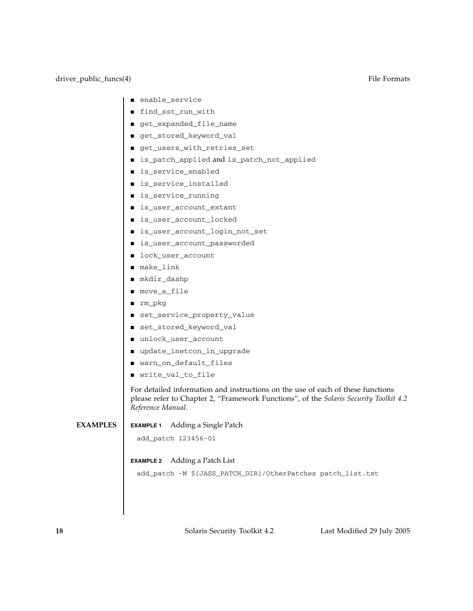- enable\_service
- find\_sst\_run\_with
- get\_expanded\_file\_name
- get\_stored\_keyword\_val
- get\_users\_with\_retries\_set
- is\_patch\_applied and is\_patch\_not\_applied
- is service enabled
- is\_service\_installed
- is\_service\_running
- is\_user\_account\_extant
- is\_user\_account\_locked
- is\_user\_account\_login\_not\_set
- is user account passworded
- lock user\_account
- make\_link
- mkdir dashp
- move\_a\_file
- rm\_pkg
- set\_service\_property\_value
- set\_stored\_keyword\_val
- unlock\_user\_account
- update\_inetcon\_in\_upgrade
- warn\_on\_default\_files
- write\_val\_to\_file

For detailed information and instructions on the use of each of these functions please refer to Chapter 2, "Framework Functions", of the *Solaris Security Toolkit 4.2 Reference Manual*.

```
EXAMPLES | EXAMPLE 1 Adding a Single Patch
```

```
add_patch 123456-01
```
**EXAMPLE 2** Adding a Patch List

add\_patch -M \${JASS\_PATCH\_DIR}/OtherPatches patch\_list.txt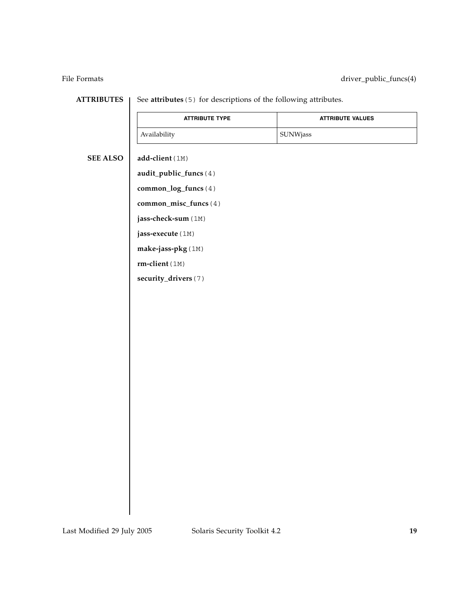#### **ATTRIBUTES** | See **attributes** (5) for descriptions of the following attributes.

| <b>ATTRIBUTE TYPE</b> | <b>ATTRIBUTE VALUES</b> |
|-----------------------|-------------------------|
| Availability          | ! SUNWjass              |

### **SEE ALSO add-client**(1M)

**audit\_public\_funcs**(4)

**common\_log\_funcs**(4)

**common\_misc\_funcs**(4)

**jass-check-sum**(1M)

**jass-execute**(1M)

**make-jass-pkg**(1M)

**rm-client**(1M)

**security\_drivers**(7)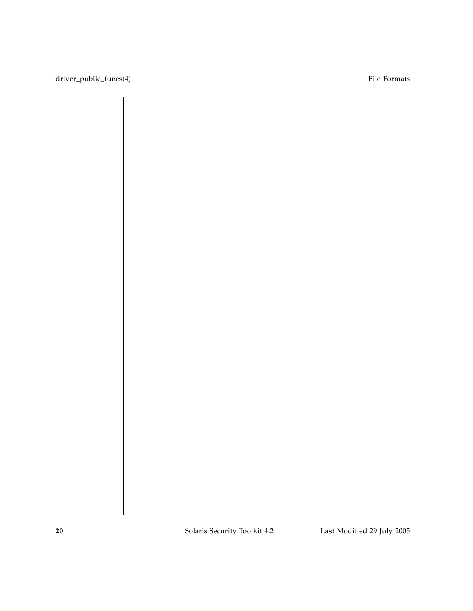driver\_public\_funcs(4) File Formats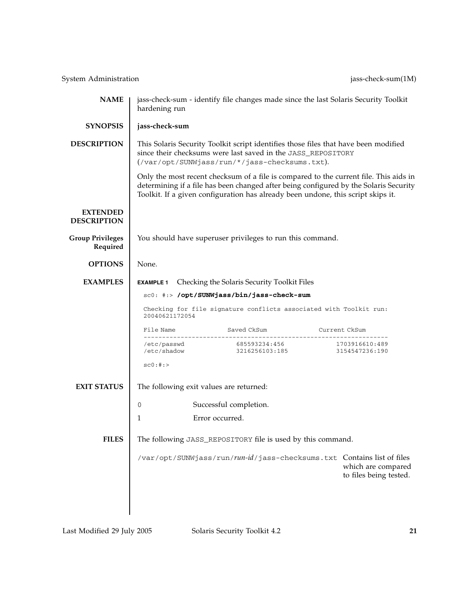<span id="page-28-0"></span>

| <b>NAME</b>                           | jass-check-sum - identify file changes made since the last Solaris Security Toolkit<br>hardening run                                                                                                                                                               |                                                                        |  |                                              |
|---------------------------------------|--------------------------------------------------------------------------------------------------------------------------------------------------------------------------------------------------------------------------------------------------------------------|------------------------------------------------------------------------|--|----------------------------------------------|
| <b>SYNOPSIS</b>                       | jass-check-sum                                                                                                                                                                                                                                                     |                                                                        |  |                                              |
| <b>DESCRIPTION</b>                    | This Solaris Security Toolkit script identifies those files that have been modified<br>since their checksums were last saved in the JASS_REPOSITORY<br>(/var/opt/SUNWjass/run/*/jass-checksums.txt).                                                               |                                                                        |  |                                              |
|                                       | Only the most recent checksum of a file is compared to the current file. This aids in<br>determining if a file has been changed after being configured by the Solaris Security<br>Toolkit. If a given configuration has already been undone, this script skips it. |                                                                        |  |                                              |
| <b>EXTENDED</b><br><b>DESCRIPTION</b> |                                                                                                                                                                                                                                                                    |                                                                        |  |                                              |
| <b>Group Privileges</b><br>Required   |                                                                                                                                                                                                                                                                    | You should have superuser privileges to run this command.              |  |                                              |
| <b>OPTIONS</b>                        | None.                                                                                                                                                                                                                                                              |                                                                        |  |                                              |
| <b>EXAMPLES</b>                       | <b>EXAMPLE 1</b>                                                                                                                                                                                                                                                   | Checking the Solaris Security Toolkit Files                            |  |                                              |
|                                       |                                                                                                                                                                                                                                                                    | sc0: #:> /opt/SUNWjass/bin/jass-check-sum                              |  |                                              |
|                                       | 20040621172054                                                                                                                                                                                                                                                     | Checking for file signature conflicts associated with Toolkit run:     |  |                                              |
|                                       | File Name                                                                                                                                                                                                                                                          | Saved CkSum Current CkSum                                              |  |                                              |
|                                       | /etc/passwd<br>/etc/shadow                                                                                                                                                                                                                                         | 685593234:456<br>3216256103:185                                        |  | 1703916610:489<br>3154547236:190             |
|                                       | $sc0:$ # $:$                                                                                                                                                                                                                                                       |                                                                        |  |                                              |
| <b>EXIT STATUS</b>                    | The following exit values are returned:                                                                                                                                                                                                                            |                                                                        |  |                                              |
|                                       | 0                                                                                                                                                                                                                                                                  | Successful completion.                                                 |  |                                              |
|                                       | 1                                                                                                                                                                                                                                                                  | Error occurred.                                                        |  |                                              |
| <b>FILES</b>                          | The following JASS_REPOSITORY file is used by this command.                                                                                                                                                                                                        |                                                                        |  |                                              |
|                                       |                                                                                                                                                                                                                                                                    | /var/opt/SUNWjass/run/run-id/jass-checksums.txt Contains list of files |  | which are compared<br>to files being tested. |
|                                       |                                                                                                                                                                                                                                                                    |                                                                        |  |                                              |
|                                       |                                                                                                                                                                                                                                                                    |                                                                        |  |                                              |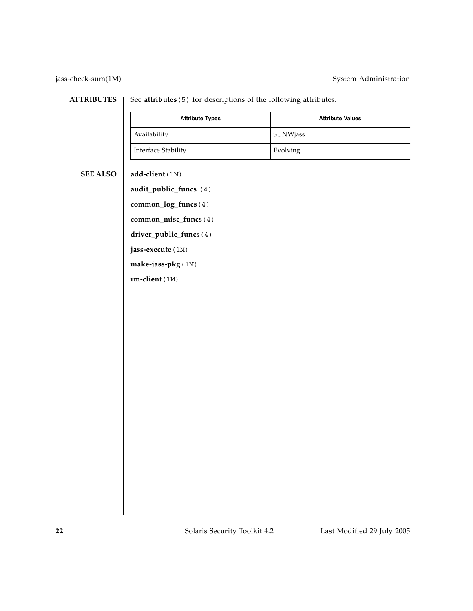**ATTRIBUTES** | See **attributes** (5) for descriptions of the following attributes.

| <b>Attribute Types</b> | <b>Attribute Values</b> |
|------------------------|-------------------------|
| Availability           | SUNWjass                |
| Interface Stability    | Evolving                |

## **SEE ALSO add-client** (1M)

**audit\_public\_funcs** (4)

**common\_log\_funcs**(4)

**common\_misc\_funcs**(4)

**driver\_public\_funcs**(4)

**jass-execute**(1M)

**make-jass-pkg**(1M)

**rm-client**(1M)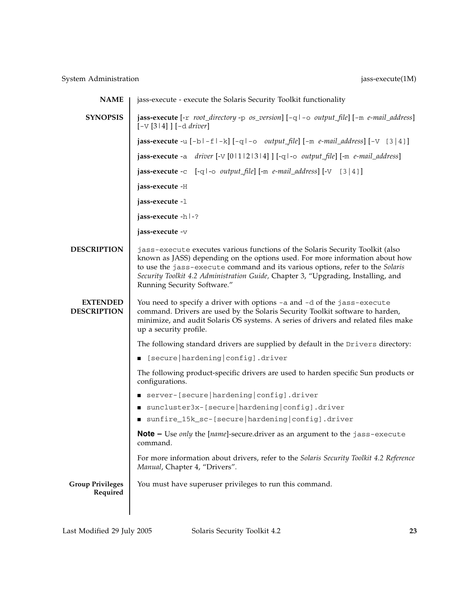<span id="page-30-0"></span>

| jass-execute - execute the Solaris Security Toolkit functionality                                                                                                                                                                                                                                                                                                  |  |  |
|--------------------------------------------------------------------------------------------------------------------------------------------------------------------------------------------------------------------------------------------------------------------------------------------------------------------------------------------------------------------|--|--|
| jass-execute $[-r$ root_directory -p os_version] $[-q]$ -o output_file] $[-m e$ -mail_address]<br>$[-V [3 4] ] [-d$ driver]                                                                                                                                                                                                                                        |  |  |
| jass-execute -u $[-b -f -k]$ $[-q -o$ <i>output_file</i> ] $[-m \ e-mail\_address]$ $[-V \ [3 \ 4]]$                                                                                                                                                                                                                                                               |  |  |
| jass-execute -a driver [-V [011121314] ] [-q1-o output_file] [-m e-mail_address]                                                                                                                                                                                                                                                                                   |  |  |
| jass-execute -c $[-q]$ -o output_file] $[-m \text{ e-mail}\_address]$ $[-V \ 13 4]$                                                                                                                                                                                                                                                                                |  |  |
| jass-execute -H                                                                                                                                                                                                                                                                                                                                                    |  |  |
| jass-execute -1                                                                                                                                                                                                                                                                                                                                                    |  |  |
| jass-execute -h -?                                                                                                                                                                                                                                                                                                                                                 |  |  |
| jass-execute -v                                                                                                                                                                                                                                                                                                                                                    |  |  |
| jass-execute executes various functions of the Solaris Security Toolkit (also<br>known as JASS) depending on the options used. For more information about how<br>to use the jass-execute command and its various options, refer to the Solaris<br>Security Toolkit 4.2 Administration Guide, Chapter 3, "Upgrading, Installing, and<br>Running Security Software." |  |  |
| You need to specify a driver with options -a and -d of the jass-execute<br>command. Drivers are used by the Solaris Security Toolkit software to harden,<br>minimize, and audit Solaris OS systems. A series of drivers and related files make<br>up a security profile.                                                                                           |  |  |
| The following standard drivers are supplied by default in the Drivers directory:                                                                                                                                                                                                                                                                                   |  |  |
| [secure hardening config].driver                                                                                                                                                                                                                                                                                                                                   |  |  |
| The following product-specific drivers are used to harden specific Sun products or<br>configurations.                                                                                                                                                                                                                                                              |  |  |
| server-[secure hardening config].driver                                                                                                                                                                                                                                                                                                                            |  |  |
| ■ suncluster3x-[secure hardening config].driver                                                                                                                                                                                                                                                                                                                    |  |  |
| ■ sunfire_15k_sc-[secure hardening config].driver                                                                                                                                                                                                                                                                                                                  |  |  |
| <b>Note –</b> Use only the [name]-secure.driver as an argument to the jass-execute<br>command.                                                                                                                                                                                                                                                                     |  |  |
| For more information about drivers, refer to the Solaris Security Toolkit 4.2 Reference<br>Manual, Chapter 4, "Drivers".                                                                                                                                                                                                                                           |  |  |
| You must have superuser privileges to run this command.                                                                                                                                                                                                                                                                                                            |  |  |
|                                                                                                                                                                                                                                                                                                                                                                    |  |  |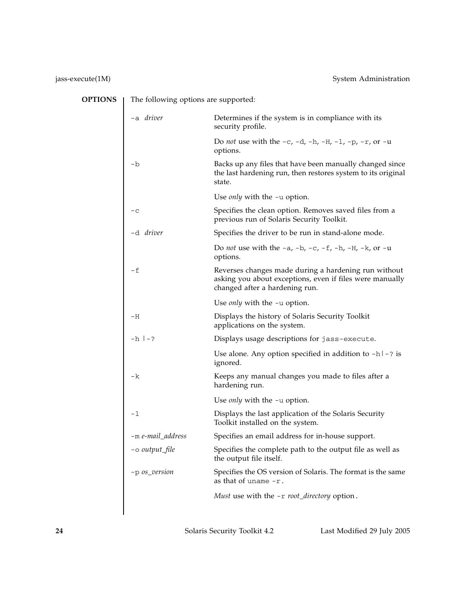## **OPTIONS** | The following options are supported:

| -a driver         | Determines if the system is in compliance with its<br>security profile.                                                                            |
|-------------------|----------------------------------------------------------------------------------------------------------------------------------------------------|
|                   | Do <i>not</i> use with the $-c$ , $-d$ , $-h$ , $-H$ , $-1$ , $-p$ , $-r$ , or $-u$<br>options.                                                    |
| -b                | Backs up any files that have been manually changed since<br>the last hardening run, then restores system to its original<br>state.                 |
|                   | Use only with the -u option.                                                                                                                       |
| $-c$              | Specifies the clean option. Removes saved files from a<br>previous run of Solaris Security Toolkit.                                                |
| -d driver         | Specifies the driver to be run in stand-alone mode.                                                                                                |
|                   | Do <i>not</i> use with the $-a$ , $-b$ , $-c$ , $-f$ , $-h$ , $-H$ , $-k$ , or $-u$<br>options.                                                    |
| -f                | Reverses changes made during a hardening run without<br>asking you about exceptions, even if files were manually<br>changed after a hardening run. |
|                   | Use only with the -u option.                                                                                                                       |
| – H               | Displays the history of Solaris Security Toolkit<br>applications on the system.                                                                    |
| $-h$ $-2$         | Displays usage descriptions for jass-execute.                                                                                                      |
|                   | Use alone. Any option specified in addition to $-h$ $\mid$ -? is<br>ignored.                                                                       |
| -k                | Keeps any manual changes you made to files after a<br>hardening run.                                                                               |
|                   | Use only with the -u option.                                                                                                                       |
| -1                | Displays the last application of the Solaris Security<br>Toolkit installed on the system.                                                          |
| -m e-mail_address | Specifies an email address for in-house support.                                                                                                   |
| -0 output_file    | Specifies the complete path to the output file as well as<br>the output file itself.                                                               |
| -p os_version     | Specifies the OS version of Solaris. The format is the same<br>as that of uname $-r$ .                                                             |
|                   | Must use with the $-r$ root_directory option.                                                                                                      |

I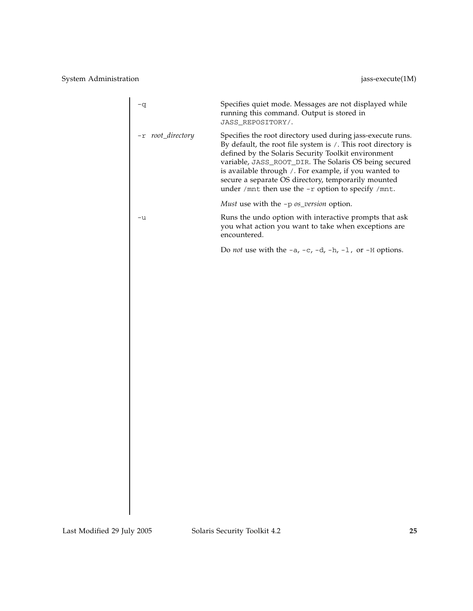| -q                | Specifies quiet mode. Messages are not displayed while<br>running this command. Output is stored in<br>JASS_REPOSITORY/.                                                                                                                                                                                                                                                                                           |
|-------------------|--------------------------------------------------------------------------------------------------------------------------------------------------------------------------------------------------------------------------------------------------------------------------------------------------------------------------------------------------------------------------------------------------------------------|
| -r root_directory | Specifies the root directory used during jass-execute runs.<br>By default, the root file system is /. This root directory is<br>defined by the Solaris Security Toolkit environment<br>variable, JASS_ROOT_DIR. The Solaris OS being secured<br>is available through /. For example, if you wanted to<br>secure a separate OS directory, temporarily mounted<br>under /mnt then use the -r option to specify /mnt. |
|                   | Must use with the -p os_version option.                                                                                                                                                                                                                                                                                                                                                                            |
| -u                | Runs the undo option with interactive prompts that ask<br>you what action you want to take when exceptions are<br>encountered.                                                                                                                                                                                                                                                                                     |
|                   | Do not use with the $-a$ , $-c$ , $-d$ , $-h$ , $-1$ , or $-H$ options.                                                                                                                                                                                                                                                                                                                                            |
|                   |                                                                                                                                                                                                                                                                                                                                                                                                                    |
|                   |                                                                                                                                                                                                                                                                                                                                                                                                                    |
|                   |                                                                                                                                                                                                                                                                                                                                                                                                                    |
|                   |                                                                                                                                                                                                                                                                                                                                                                                                                    |
|                   |                                                                                                                                                                                                                                                                                                                                                                                                                    |
|                   |                                                                                                                                                                                                                                                                                                                                                                                                                    |
|                   |                                                                                                                                                                                                                                                                                                                                                                                                                    |
|                   |                                                                                                                                                                                                                                                                                                                                                                                                                    |
|                   |                                                                                                                                                                                                                                                                                                                                                                                                                    |
|                   |                                                                                                                                                                                                                                                                                                                                                                                                                    |
|                   |                                                                                                                                                                                                                                                                                                                                                                                                                    |
|                   |                                                                                                                                                                                                                                                                                                                                                                                                                    |
|                   |                                                                                                                                                                                                                                                                                                                                                                                                                    |
|                   |                                                                                                                                                                                                                                                                                                                                                                                                                    |
|                   |                                                                                                                                                                                                                                                                                                                                                                                                                    |
|                   |                                                                                                                                                                                                                                                                                                                                                                                                                    |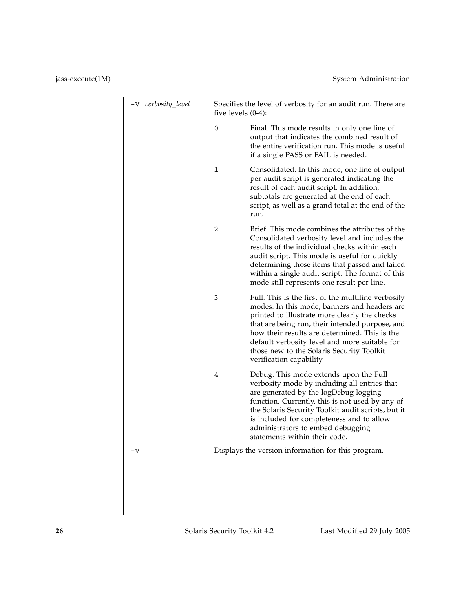| -V verbosity_level | Specifies the level of verbosity for an audit run. There are<br>five levels $(0-4)$ : |                                                                                                                                                                                                                                                                                                                                                                                   |
|--------------------|---------------------------------------------------------------------------------------|-----------------------------------------------------------------------------------------------------------------------------------------------------------------------------------------------------------------------------------------------------------------------------------------------------------------------------------------------------------------------------------|
|                    | 0                                                                                     | Final. This mode results in only one line of<br>output that indicates the combined result of<br>the entire verification run. This mode is useful<br>if a single PASS or FAIL is needed.                                                                                                                                                                                           |
|                    | 1                                                                                     | Consolidated. In this mode, one line of output<br>per audit script is generated indicating the<br>result of each audit script. In addition,<br>subtotals are generated at the end of each<br>script, as well as a grand total at the end of the<br>run.                                                                                                                           |
|                    | 2                                                                                     | Brief. This mode combines the attributes of the<br>Consolidated verbosity level and includes the<br>results of the individual checks within each<br>audit script. This mode is useful for quickly<br>determining those items that passed and failed<br>within a single audit script. The format of this<br>mode still represents one result per line.                             |
|                    | 3                                                                                     | Full. This is the first of the multiline verbosity<br>modes. In this mode, banners and headers are<br>printed to illustrate more clearly the checks<br>that are being run, their intended purpose, and<br>how their results are determined. This is the<br>default verbosity level and more suitable for<br>those new to the Solaris Security Toolkit<br>verification capability. |
|                    | 4                                                                                     | Debug. This mode extends upon the Full<br>verbosity mode by including all entries that<br>are generated by the logDebug logging<br>function. Currently, this is not used by any of<br>the Solaris Security Toolkit audit scripts, but it<br>is included for completeness and to allow<br>administrators to embed debugging<br>statements within their code.                       |
| -v                 |                                                                                       | Displays the version information for this program.                                                                                                                                                                                                                                                                                                                                |
|                    |                                                                                       |                                                                                                                                                                                                                                                                                                                                                                                   |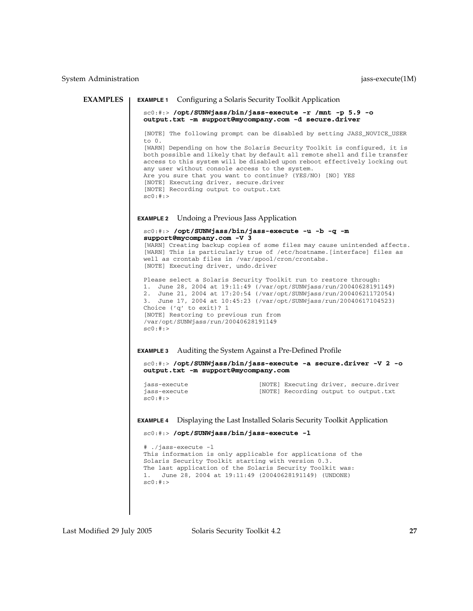## **EXAMPLES** | EXAMPLE 1 Configuring a Solaris Security Toolkit Application **EXAMPLE 2** Undoing a Previous Jass Application **EXAMPLE 3** Auditing the System Against a Pre-Defined Profile **EXAMPLE 4** Displaying the Last Installed Solaris Security Toolkit Application sc0:#:> **/opt/SUNWjass/bin/jass-execute -r /mnt -p 5.9 -o output.txt -m support@mycompany.com -d secure.driver** [NOTE] The following prompt can be disabled by setting JASS\_NOVICE\_USER to 0. [WARN] Depending on how the Solaris Security Toolkit is configured, it is both possible and likely that by default all remote shell and file transfer access to this system will be disabled upon reboot effectively locking out any user without console access to the system. Are you sure that you want to continue? (YES/NO) [NO] YES [NOTE] Executing driver, secure.driver [NOTE] Recording output to output.txt sc0:#:> sc0:#:> **/opt/SUNWjass/bin/jass-execute -u -b -q -m support@mycompany.com -V 3** [WARN] Creating backup copies of some files may cause unintended affects. [WARN] This is particularly true of /etc/hostname.[interface] files as well as crontab files in /var/spool/cron/crontabs. [NOTE] Executing driver, undo.driver Please select a Solaris Security Toolkit run to restore through: 1. June 28, 2004 at 19:11:49 (/var/opt/SUNWjass/run/20040628191149) 2. June 21, 2004 at 17:20:54 (/var/opt/SUNWjass/run/20040621172054) 3. June 17, 2004 at 10:45:23 (/var/opt/SUNWjass/run/20040617104523) Choice ('q' to exit)? 1 [NOTE] Restoring to previous run from /var/opt/SUNWjass/run/20040628191149  $sc0:$ # $:$ sc0:#:> **/opt/SUNWjass/bin/jass-execute -a secure.driver -V 2 -o output.txt -m support@mycompany.com** jass-execute [NOTE] Executing driver, secure.driver jass-execute [NOTE] Recording output to output.txt sc0:#:> sc0:#:> **/opt/SUNWjass/bin/jass-execute -l** # ./jass-execute -l This information is only applicable for applications of the Solaris Security Toolkit starting with version 0.3. The last application of the Solaris Security Toolkit was: 1. June 28, 2004 at 19:11:49 (20040628191149) (UNDONE)  $sc0: #: >$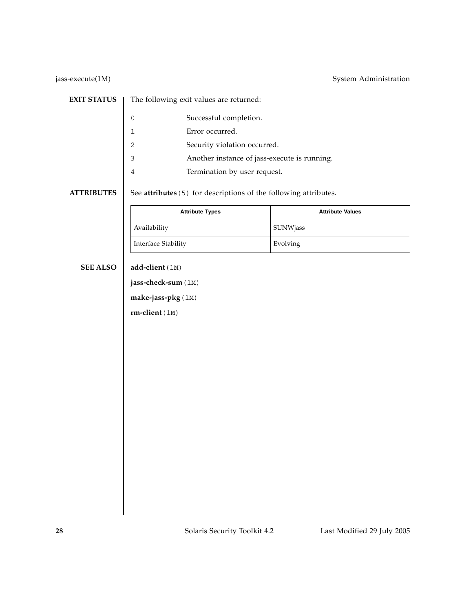# **EXIT STATUS** | The following exit values are returned: 0 Successful completion. 1 Error occurred. 2 Security violation occurred.

- 3 Another instance of jass-execute is running.
- 4 Termination by user request.

**ATTRIBUTES** See **attributes** (5) for descriptions of the following attributes.

| <b>Attribute Types</b> | <b>Attribute Values</b> |
|------------------------|-------------------------|
| Availability           | <b>SUNWjass</b>         |
| Interface Stability    | Evolving                |

#### **SEE ALSO add-client**(1M)

**jass-check-sum**(1M)

**make-jass-pkg**(1M)

**rm-client**(1M)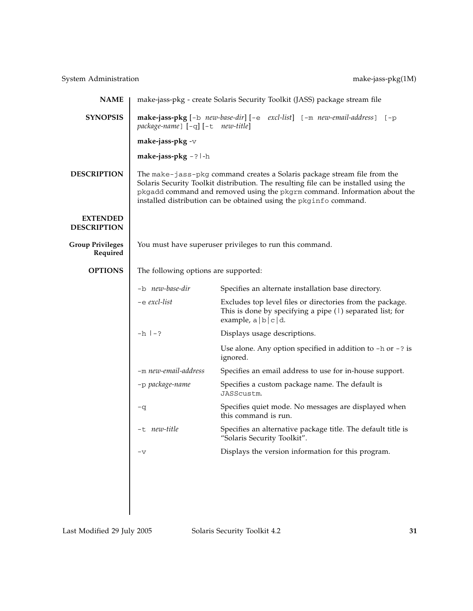<span id="page-36-0"></span>

| <b>NAME</b>                           | make-jass-pkg - create Solaris Security Toolkit (JASS) package stream file                                                                                                                                                                                                                                         |                                                                                                                                                        |  |
|---------------------------------------|--------------------------------------------------------------------------------------------------------------------------------------------------------------------------------------------------------------------------------------------------------------------------------------------------------------------|--------------------------------------------------------------------------------------------------------------------------------------------------------|--|
| <b>SYNOPSIS</b>                       | make-jass-pkg [-b new-base-dir] [-e excl-list] [-m new-email-address] [-p<br>package-name] [-q] [-t new-title]                                                                                                                                                                                                     |                                                                                                                                                        |  |
|                                       | make-jass-pkg -v                                                                                                                                                                                                                                                                                                   |                                                                                                                                                        |  |
|                                       | make-jass-pkg -?  -h                                                                                                                                                                                                                                                                                               |                                                                                                                                                        |  |
| <b>DESCRIPTION</b>                    | The make-jass-pkg command creates a Solaris package stream file from the<br>Solaris Security Toolkit distribution. The resulting file can be installed using the<br>pkgadd command and removed using the pkgrm command. Information about the<br>installed distribution can be obtained using the pkginfo command. |                                                                                                                                                        |  |
| <b>EXTENDED</b><br><b>DESCRIPTION</b> |                                                                                                                                                                                                                                                                                                                    |                                                                                                                                                        |  |
| <b>Group Privileges</b><br>Required   |                                                                                                                                                                                                                                                                                                                    | You must have superuser privileges to run this command.                                                                                                |  |
| <b>OPTIONS</b>                        | The following options are supported:                                                                                                                                                                                                                                                                               |                                                                                                                                                        |  |
|                                       | -b new-base-dir                                                                                                                                                                                                                                                                                                    | Specifies an alternate installation base directory.                                                                                                    |  |
|                                       | $-e$ excl-list                                                                                                                                                                                                                                                                                                     | Excludes top level files or directories from the package.<br>This is done by specifying a pipe $(1)$ separated list; for<br>example, $a   b   c   d$ . |  |
|                                       | $-h$ $-?$                                                                                                                                                                                                                                                                                                          | Displays usage descriptions.                                                                                                                           |  |
|                                       |                                                                                                                                                                                                                                                                                                                    | Use alone. Any option specified in addition to $-h$ or $-$ ? is<br>ignored.                                                                            |  |
|                                       | -m new-email-address                                                                                                                                                                                                                                                                                               | Specifies an email address to use for in-house support.                                                                                                |  |
|                                       | -p package-name                                                                                                                                                                                                                                                                                                    | Specifies a custom package name. The default is<br>JASScustm.                                                                                          |  |
|                                       | -q                                                                                                                                                                                                                                                                                                                 | Specifies quiet mode. No messages are displayed when<br>this command is run.                                                                           |  |
|                                       | -t new-title                                                                                                                                                                                                                                                                                                       | Specifies an alternative package title. The default title is<br>"Solaris Security Toolkit".                                                            |  |
|                                       | -v                                                                                                                                                                                                                                                                                                                 | Displays the version information for this program.                                                                                                     |  |
|                                       |                                                                                                                                                                                                                                                                                                                    |                                                                                                                                                        |  |
|                                       |                                                                                                                                                                                                                                                                                                                    |                                                                                                                                                        |  |
|                                       |                                                                                                                                                                                                                                                                                                                    |                                                                                                                                                        |  |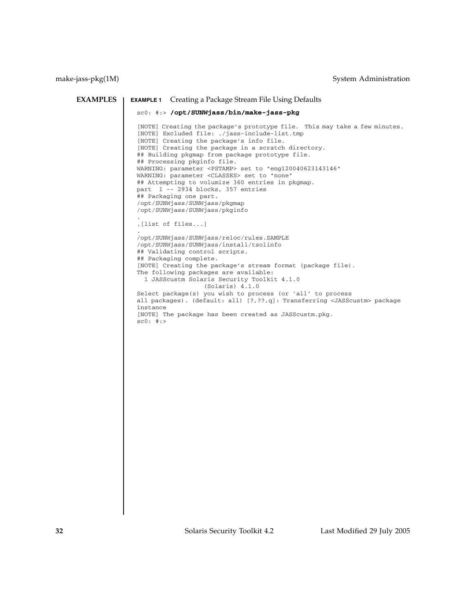#### **EXAMPLES** | EXAMPLE 1 Creating a Package Stream File Using Defaults sc0: #:> **/opt/SUNWjass/bin/make-jass-pkg** [NOTE] Creating the package's prototype file. This may take a few minutes. [NOTE] Excluded file: ./jass-include-list.tmp [NOTE] Creating the package's info file. [NOTE] Creating the package in a scratch directory. ## Building pkgmap from package prototype file. ## Processing pkginfo file. WARNING: parameter <PSTAMP> set to "eng120040623143146" WARNING: parameter <CLASSES> set to "none" ## Attempting to volumize 360 entries in pkgmap. part 1 -- 2934 blocks, 357 entries ## Packaging one part. /opt/SUNWjass/SUNWjass/pkgmap /opt/SUNWjass/SUNWjass/pkginfo . .[list of files...] . /opt/SUNWjass/SUNWjass/reloc/rules.SAMPLE /opt/SUNWjass/SUNWjass/install/tsolinfo ## Validating control scripts. ## Packaging complete. [NOTE] Creating the package's stream format (package file). The following packages are available: 1 JASScustm Solaris Security Toolkit 4.1.0 (Solaris) 4.1.0 Select package(s) you wish to process (or 'all' to process all packages). (default: all) [?,??,q]: Transferring <JASScustm> package instance [NOTE] The package has been created as JASScustm.pkg.  $sc0: #:>$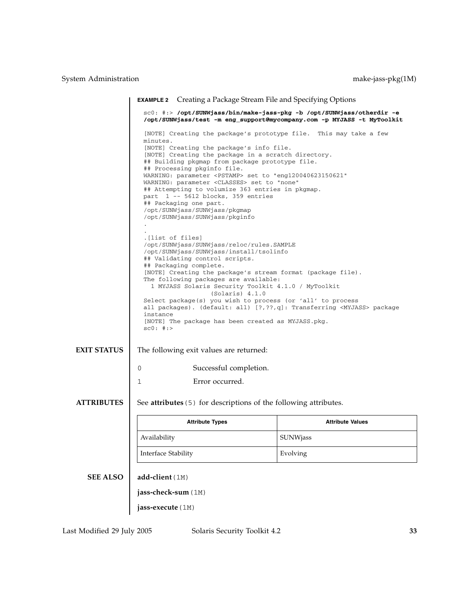|                    | <b>EXAMPLE 2</b> Creating a Package Stream File and Specifying Options                                                                                                                                                                                                                                                                                                                                                                                                                                                                                                                                      |                         |  |
|--------------------|-------------------------------------------------------------------------------------------------------------------------------------------------------------------------------------------------------------------------------------------------------------------------------------------------------------------------------------------------------------------------------------------------------------------------------------------------------------------------------------------------------------------------------------------------------------------------------------------------------------|-------------------------|--|
|                    | sc0: #:> /opt/SUNWjass/bin/make-jass-pkg -b /opt/SUNWjass/otherdir -e<br>/opt/SUNWjass/test -m eng_support@mycompany.com -p MYJASS -t MyToolkit                                                                                                                                                                                                                                                                                                                                                                                                                                                             |                         |  |
|                    | [NOTE] Creating the package's prototype file. This may take a few<br>minutes.<br>[NOTE] Creating the package's info file.<br>[NOTE] Creating the package in a scratch directory.<br>## Building pkgmap from package prototype file.<br>## Processing pkginfo file.<br>WARNING: parameter <pstamp> set to "eng120040623150621"<br/>WARNING: parameter <classes> set to "none"<br/>## Attempting to volumize 363 entries in pkgmap.<br/>part <math>1</math> -- 5612 blocks, 359 entries<br/>## Packaging one part.<br/>/opt/SUNWjass/SUNWjass/pkgmap<br/>/opt/SUNWjass/SUNWjass/pkginfo</classes></pstamp>    |                         |  |
|                    | .[list of files]<br>/opt/SUNWjass/SUNWjass/reloc/rules.SAMPLE<br>/opt/SUNWjass/SUNWjass/install/tsolinfo<br>## Validating control scripts.<br>## Packaging complete.<br>[NOTE] Creating the package's stream format (package file).<br>The following packages are available:<br>1 MYJASS Solaris Security Toolkit 4.1.0 / MyToolkit<br>$(Solaris)$ 4.1.0<br>Select package(s) you wish to process (or 'all' to process<br>all packages). (default: all) [?, ??, q]: Transferring <myjass> package<br/>instance<br/>[NOTE] The package has been created as MYJASS.pkg.<br/><math>sc0:</math> #:&gt;</myjass> |                         |  |
| <b>EXIT STATUS</b> | The following exit values are returned:                                                                                                                                                                                                                                                                                                                                                                                                                                                                                                                                                                     |                         |  |
|                    | Successful completion.<br>0                                                                                                                                                                                                                                                                                                                                                                                                                                                                                                                                                                                 |                         |  |
|                    | Error occurred.<br>1                                                                                                                                                                                                                                                                                                                                                                                                                                                                                                                                                                                        |                         |  |
| <b>ATTRIBUTES</b>  | See attributes (5) for descriptions of the following attributes.                                                                                                                                                                                                                                                                                                                                                                                                                                                                                                                                            |                         |  |
|                    | <b>Attribute Types</b>                                                                                                                                                                                                                                                                                                                                                                                                                                                                                                                                                                                      | <b>Attribute Values</b> |  |
|                    | Availability                                                                                                                                                                                                                                                                                                                                                                                                                                                                                                                                                                                                | SUNWjass                |  |
|                    | <b>Interface Stability</b>                                                                                                                                                                                                                                                                                                                                                                                                                                                                                                                                                                                  | Evolving                |  |
| <b>SEE ALSO</b>    | add-client (1M)<br>jass-check-sum (1M)                                                                                                                                                                                                                                                                                                                                                                                                                                                                                                                                                                      |                         |  |
|                    | jass-execute (1M)                                                                                                                                                                                                                                                                                                                                                                                                                                                                                                                                                                                           |                         |  |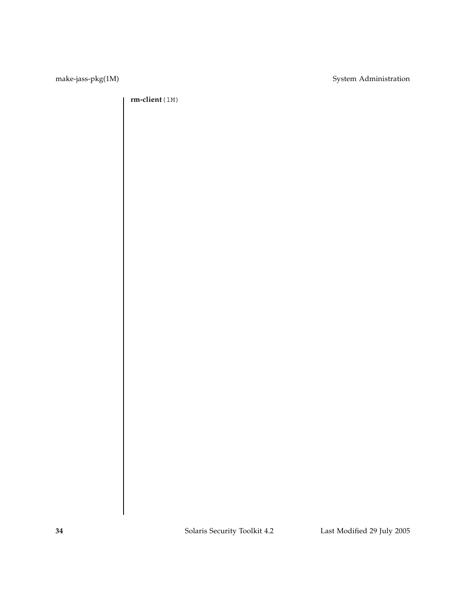**rm-client**(1M)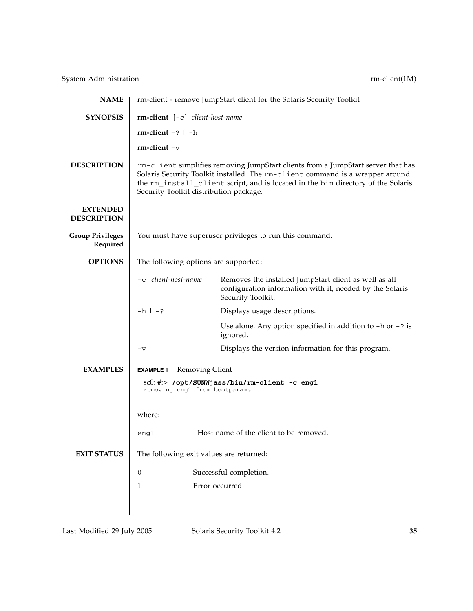<span id="page-40-0"></span>

| <b>NAME</b>                           | rm-client - remove JumpStart client for the Solaris Security Toolkit                                                                                                                                                                                                                            |                                                                                                                                        |  |
|---------------------------------------|-------------------------------------------------------------------------------------------------------------------------------------------------------------------------------------------------------------------------------------------------------------------------------------------------|----------------------------------------------------------------------------------------------------------------------------------------|--|
| <b>SYNOPSIS</b>                       | $rm\$ -client $[-c]$ client-host-name                                                                                                                                                                                                                                                           |                                                                                                                                        |  |
|                                       | $rm\$ -client -? $\vert$ -h                                                                                                                                                                                                                                                                     |                                                                                                                                        |  |
|                                       | rm-client $-v$                                                                                                                                                                                                                                                                                  |                                                                                                                                        |  |
| <b>DESCRIPTION</b>                    | rm-client simplifies removing JumpStart clients from a JumpStart server that has<br>Solaris Security Toolkit installed. The rm-client command is a wrapper around<br>the rm_install_client script, and is located in the bin directory of the Solaris<br>Security Toolkit distribution package. |                                                                                                                                        |  |
| <b>EXTENDED</b><br><b>DESCRIPTION</b> |                                                                                                                                                                                                                                                                                                 |                                                                                                                                        |  |
| <b>Group Privileges</b><br>Required   |                                                                                                                                                                                                                                                                                                 | You must have superuser privileges to run this command.                                                                                |  |
| <b>OPTIONS</b>                        | The following options are supported:                                                                                                                                                                                                                                                            |                                                                                                                                        |  |
|                                       | -c client-host-name                                                                                                                                                                                                                                                                             | Removes the installed JumpStart client as well as all<br>configuration information with it, needed by the Solaris<br>Security Toolkit. |  |
|                                       | $-h$   $-$ ?                                                                                                                                                                                                                                                                                    | Displays usage descriptions.                                                                                                           |  |
|                                       |                                                                                                                                                                                                                                                                                                 | Use alone. Any option specified in addition to $-h$ or $-$ ? is<br>ignored.                                                            |  |
|                                       | $-\nabla$                                                                                                                                                                                                                                                                                       | Displays the version information for this program.                                                                                     |  |
| <b>EXAMPLES</b>                       | <b>Removing Client</b><br><b>EXAMPLE 1</b>                                                                                                                                                                                                                                                      |                                                                                                                                        |  |
|                                       | removing engl from bootparams                                                                                                                                                                                                                                                                   | $\text{sc}0:$ #:> /opt/SUNWjass/bin/rm-client -c eng1                                                                                  |  |
|                                       | where:                                                                                                                                                                                                                                                                                          |                                                                                                                                        |  |
|                                       | eng1                                                                                                                                                                                                                                                                                            | Host name of the client to be removed.                                                                                                 |  |
| <b>EXIT STATUS</b>                    | The following exit values are returned:                                                                                                                                                                                                                                                         |                                                                                                                                        |  |
|                                       | 0                                                                                                                                                                                                                                                                                               | Successful completion.                                                                                                                 |  |
|                                       | 1                                                                                                                                                                                                                                                                                               | Error occurred.                                                                                                                        |  |
|                                       |                                                                                                                                                                                                                                                                                                 |                                                                                                                                        |  |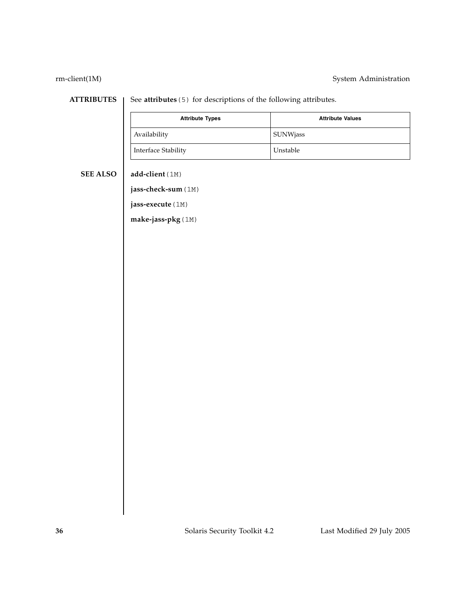**ATTRIBUTES** | See **attributes** (5) for descriptions of the following attributes.

| <b>Attribute Types</b> | <b>Attribute Values</b> |
|------------------------|-------------------------|
| Availability           | SUNWjass                |
| Interface Stability    | Unstable                |

## **SEE ALSO add-client**(1M)

**jass-check-sum**(1M)

**jass-execute**(1M)

**make-jass-pkg**(1M)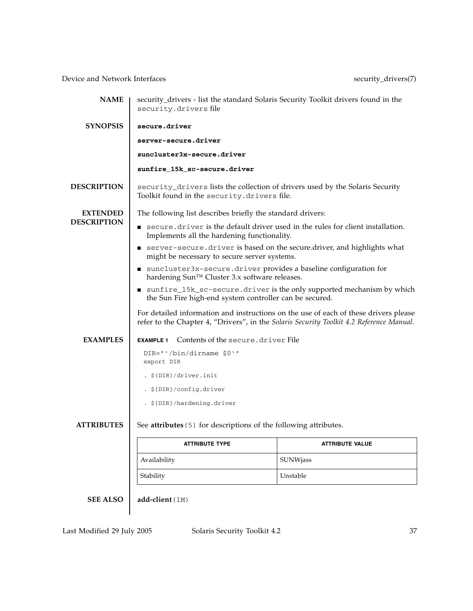<span id="page-42-0"></span>

| <b>NAME</b>                           | security_drivers - list the standard Solaris Security Toolkit drivers found in the<br>security.drivers file                                                                      |                        |
|---------------------------------------|----------------------------------------------------------------------------------------------------------------------------------------------------------------------------------|------------------------|
| <b>SYNOPSIS</b>                       | secure.driver                                                                                                                                                                    |                        |
|                                       | server-secure.driver                                                                                                                                                             |                        |
|                                       | suncluster3x-secure.driver                                                                                                                                                       |                        |
|                                       | sunfire_15k_sc-secure.driver                                                                                                                                                     |                        |
| <b>DESCRIPTION</b>                    | security_drivers lists the collection of drivers used by the Solaris Security<br>Toolkit found in the security.drivers file.                                                     |                        |
| <b>EXTENDED</b><br><b>DESCRIPTION</b> | The following list describes briefly the standard drivers:                                                                                                                       |                        |
|                                       | secure.driver is the default driver used in the rules for client installation.<br>Implements all the hardening functionality.                                                    |                        |
|                                       | server-secure.driver is based on the secure.driver, and highlights what<br>might be necessary to secure server systems.                                                          |                        |
|                                       | suncluster3x-secure.driver provides a baseline configuration for<br>hardening Sun™ Cluster 3.x software releases.                                                                |                        |
|                                       | sunfire_15k_sc-secure.driver is the only supported mechanism by which<br>the Sun Fire high-end system controller can be secured.                                                 |                        |
|                                       | For detailed information and instructions on the use of each of these drivers please<br>refer to the Chapter 4, "Drivers", in the Solaris Security Toolkit 4.2 Reference Manual. |                        |
| <b>EXAMPLES</b>                       | Contents of the secure. driver File<br><b>EXAMPLE 1</b>                                                                                                                          |                        |
|                                       | $DIR = "'/bin/dirname$ \$0'"<br>export DIR                                                                                                                                       |                        |
|                                       | . \${DIR}/driver.init                                                                                                                                                            |                        |
|                                       | \${DIR}/config.driver                                                                                                                                                            |                        |
|                                       | . \${DIR}/hardening.driver                                                                                                                                                       |                        |
| <b>ATTRIBUTES</b>                     | See attributes (5) for descriptions of the following attributes.                                                                                                                 |                        |
|                                       | <b>ATTRIBUTE TYPE</b>                                                                                                                                                            | <b>ATTRIBUTE VALUE</b> |
|                                       | Availability                                                                                                                                                                     | SUNWjass               |
|                                       | Stability                                                                                                                                                                        | Unstable               |
| <b>SEE ALSO</b>                       | add-client (1M)                                                                                                                                                                  |                        |

 $\mathbf{I}$